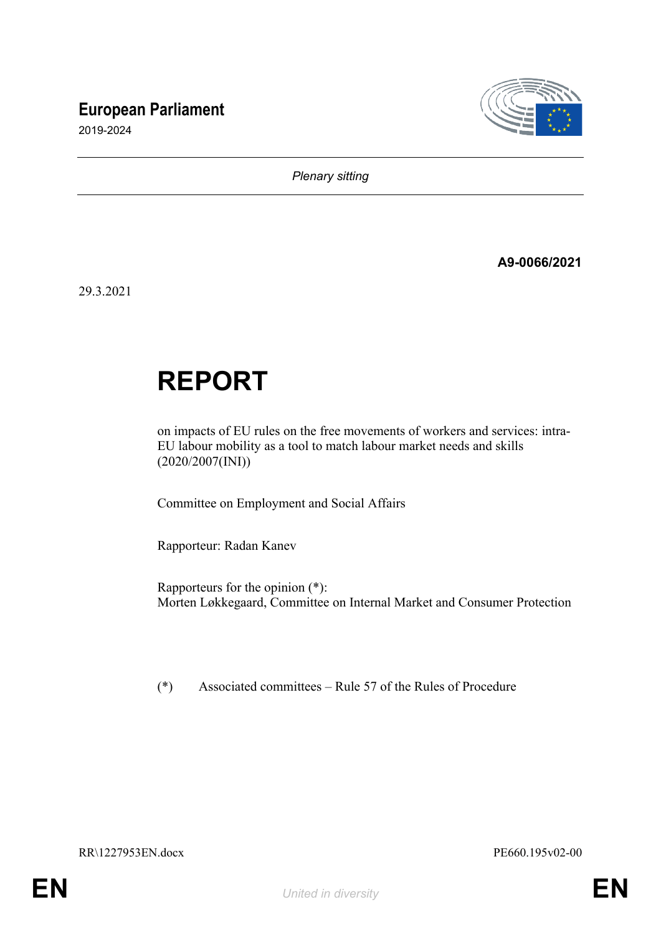# **European Parliament**





*Plenary sitting*

**A9-0066/2021**

29.3.2021

# **REPORT**

on impacts of EU rules on the free movements of workers and services: intra-EU labour mobility as a tool to match labour market needs and skills (2020/2007(INI))

Committee on Employment and Social Affairs

Rapporteur: Radan Kanev

Rapporteurs for the opinion (\*): Morten Løkkegaard, Committee on [Internal Market and Consumer Protection](https://www.europarl.europa.eu/committees/en/imco)

(\*) Associated committees – Rule 57 of the Rules of Procedure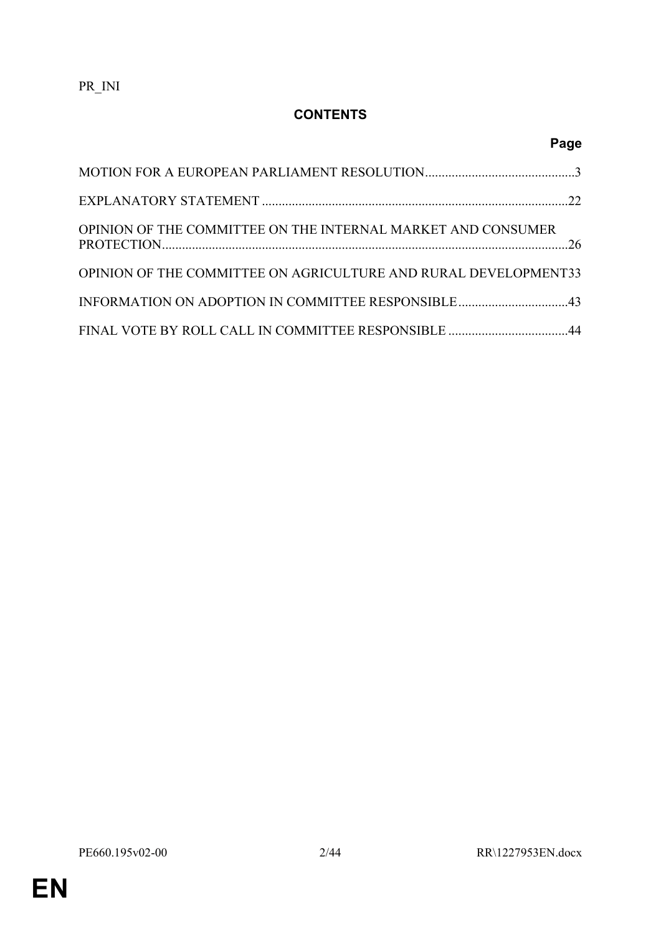# **CONTENTS**

| OPINION OF THE COMMITTEE ON THE INTERNAL MARKET AND CONSUMER    |  |
|-----------------------------------------------------------------|--|
| OPINION OF THE COMMITTEE ON AGRICULTURE AND RURAL DEVELOPMENT33 |  |
|                                                                 |  |
|                                                                 |  |

**Page**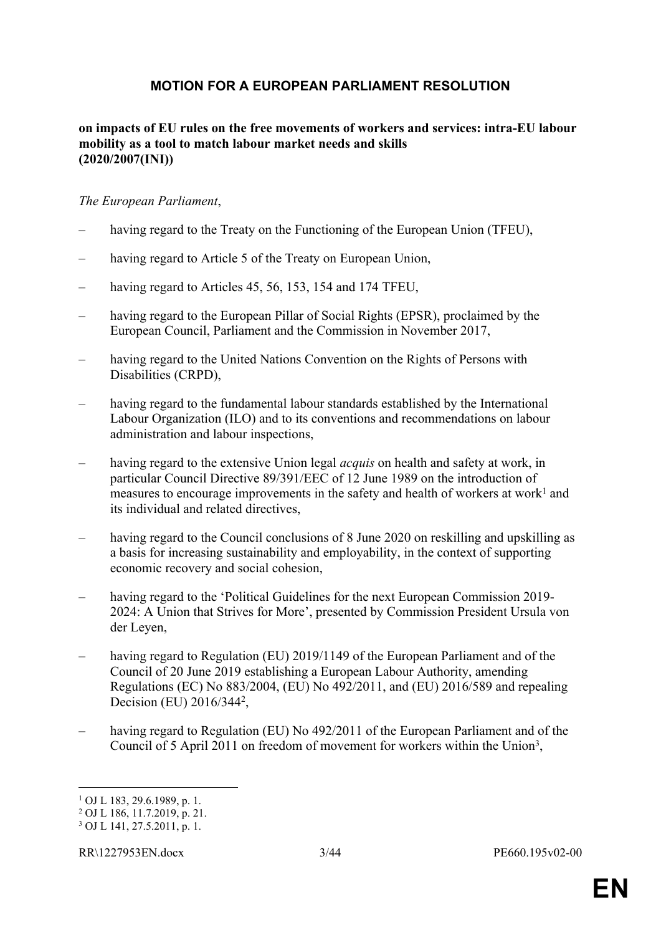## <span id="page-2-0"></span>**MOTION FOR A EUROPEAN PARLIAMENT RESOLUTION**

### **on impacts of EU rules on the free movements of workers and services: intra-EU labour mobility as a tool to match labour market needs and skills (2020/2007(INI))**

#### *The European Parliament*,

- having regard to the Treaty on the Functioning of the European Union (TFEU),
- having regard to Article 5 of the Treaty on European Union,
- having regard to Articles 45, 56, 153, 154 and 174 TFEU,
- having regard to the European Pillar of Social Rights (EPSR), proclaimed by the European Council, Parliament and the Commission in November 2017,
- having regard to the United Nations Convention on the Rights of Persons with Disabilities (CRPD),
- having regard to the fundamental labour standards established by the International Labour Organization (ILO) and to its conventions and recommendations on labour administration and labour inspections,
- having regard to the extensive Union legal *acquis* on health and safety at work, in particular Council Directive 89/391/EEC of 12 June 1989 on the introduction of measures to encourage improvements in the safety and health of workers at work<sup>1</sup> and its individual and related directives,
- having regard to the Council conclusions of 8 June 2020 on reskilling and upskilling as a basis for increasing sustainability and employability, in the context of supporting economic recovery and social cohesion,
- having regard to the 'Political Guidelines for the next European Commission 2019- 2024: A Union that Strives for More', presented by Commission President Ursula von der Leyen,
- having regard to Regulation (EU) 2019/1149 of the European Parliament and of the Council of 20 June 2019 establishing a European Labour Authority, amending Regulations (EC) No 883/2004, (EU) No 492/2011, and (EU) 2016/589 and repealing Decision (EU) 2016/344<sup>2</sup>,
- having regard to Regulation (EU) No 492/2011 of the European Parliament and of the Council of 5 April 2011 on freedom of movement for workers within the Union<sup>3</sup>,

<sup>1</sup> OJ L 183, 29.6.1989, p. 1.

<sup>2</sup> OJ L 186, 11.7.2019, p. 21.

<sup>3</sup> OJ L 141, 27.5.2011, p. 1.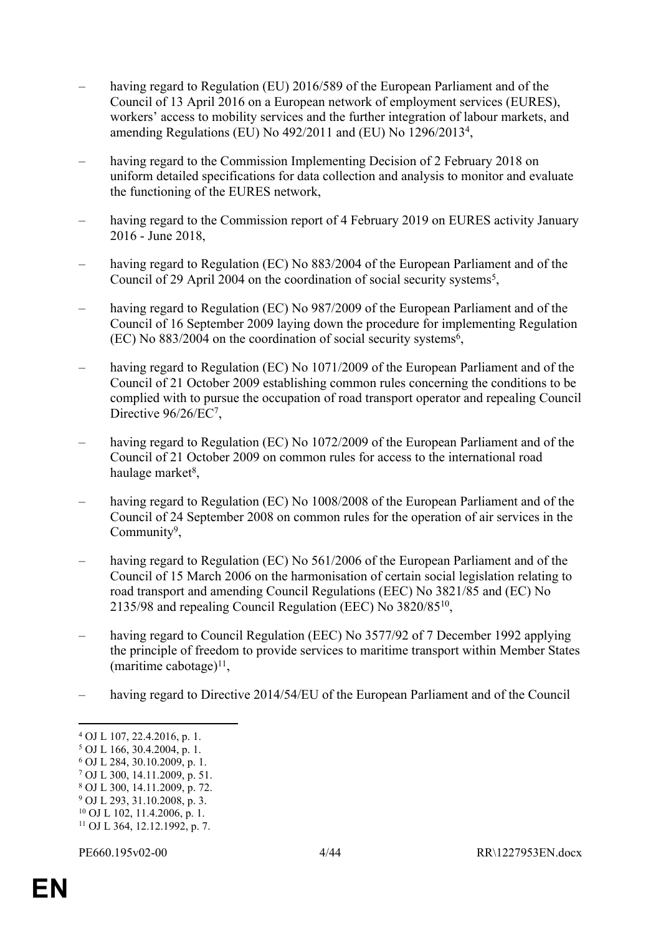- having regard to Regulation (EU) 2016/589 of the European Parliament and of the Council of 13 April 2016 on a European network of employment services (EURES), workers' access to mobility services and the further integration of labour markets, and amending Regulations (EU) No 492/2011 and (EU) No 1296/2013<sup>4</sup> ,
- having regard to the Commission Implementing Decision of 2 February 2018 on uniform detailed specifications for data collection and analysis to monitor and evaluate the functioning of the EURES network,
- having regard to the Commission report of 4 February 2019 on EURES activity January 2016 - June 2018,
- having regard to Regulation (EC) No 883/2004 of the European Parliament and of the Council of 29 April 2004 on the coordination of social security systems<sup>5</sup>,
- having regard to Regulation (EC) No 987/2009 of the European Parliament and of the Council of 16 September 2009 laying down the procedure for implementing Regulation  $(EC)$  No 883/2004 on the coordination of social security systems<sup>6</sup>,
- having regard to Regulation (EC) No 1071/2009 of the European Parliament and of the Council of 21 October 2009 establishing common rules concerning the conditions to be complied with to pursue the occupation of road transport operator and repealing Council Directive 96/26/EC<sup>7</sup>,
- having regard to Regulation (EC) No 1072/2009 of the European Parliament and of the Council of 21 October 2009 on common rules for access to the international road haulage market<sup>8</sup>,
- having regard to Regulation (EC) No 1008/2008 of the European Parliament and of the Council of 24 September 2008 on common rules for the operation of air services in the Community<sup>9</sup>,
- having regard to Regulation (EC) No 561/2006 of the European Parliament and of the Council of 15 March 2006 on the harmonisation of certain social legislation relating to road transport and amending Council Regulations (EEC) No 3821/85 and (EC) No 2135/98 and repealing Council Regulation (EEC) No 3820/85<sup>10</sup> ,
- having regard to Council Regulation (EEC) No 3577/92 of 7 December 1992 applying the principle of freedom to provide services to maritime transport within Member States (maritime cabotage)<sup>11</sup>,
- having regard to Directive 2014/54/EU of the European Parliament and of the Council

- 7 OJ L 300, 14.11.2009, p. 51.
- 8 OJ L 300, 14.11.2009, p. 72.
- 9 OJ L 293, 31.10.2008, p. 3.

<sup>4</sup> OJ L 107, 22.4.2016, p. 1.

<sup>5</sup> OJ L 166, 30.4.2004, p. 1.

<sup>6</sup> OJ L 284, 30.10.2009, p. 1.

 $10$  OJ L 102, 11.4.2006, p. 1.

<sup>11</sup> OJ L 364, 12.12.1992, p. 7.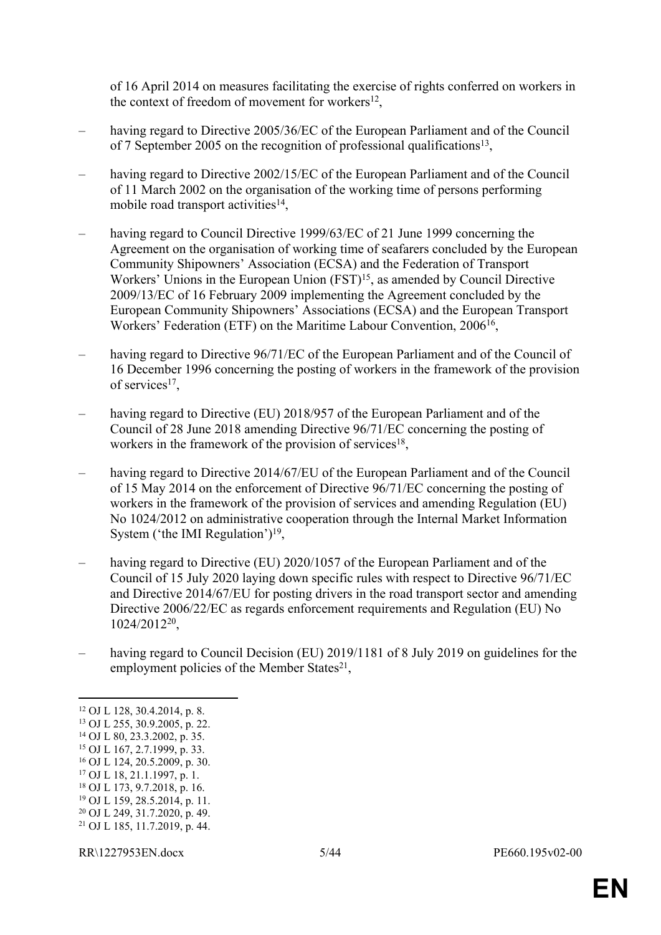of 16 April 2014 on measures facilitating the exercise of rights conferred on workers in the context of freedom of movement for workers $^{12}$ ,

- having regard to Directive 2005/36/EC of the European Parliament and of the Council of 7 September 2005 on the recognition of professional qualifications<sup>13</sup>,
- having regard to Directive 2002/15/EC of the European Parliament and of the Council of 11 March 2002 on the organisation of the working time of persons performing mobile road transport activities<sup>14</sup>,
- having regard to Council Directive 1999/63/EC of 21 June 1999 concerning the Agreement on the organisation of working time of seafarers concluded by the European Community Shipowners' Association (ECSA) and the Federation of Transport Workers' Unions in the European Union  $(FST)^{15}$ , as amended by Council Directive 2009/13/EC of 16 February 2009 implementing the Agreement concluded by the European Community Shipowners' Associations (ECSA) and the European Transport Workers' Federation (ETF) on the Maritime Labour Convention, 2006<sup>16</sup>,
- having regard to Directive 96/71/EC of the European Parliament and of the Council of 16 December 1996 concerning the posting of workers in the framework of the provision of services<sup>17</sup>,
- having regard to Directive (EU) 2018/957 of the European Parliament and of the Council of 28 June 2018 amending Directive 96/71/EC concerning the posting of workers in the framework of the provision of services<sup>18</sup>,
- having regard to Directive 2014/67/EU of the European Parliament and of the Council of 15 May 2014 on the enforcement of Directive 96/71/EC concerning the posting of workers in the framework of the provision of services and amending Regulation (EU) No 1024/2012 on administrative cooperation through the Internal Market Information System ('the IMI Regulation')<sup>19</sup>,
- having regard to Directive (EU) 2020/1057 of the European Parliament and of the Council of 15 July 2020 laying down specific rules with respect to Directive 96/71/EC and Directive 2014/67/EU for posting drivers in the road transport sector and amending Directive 2006/22/EC as regards enforcement requirements and Regulation (EU) No 1024/2012<sup>20</sup> ,
- having regard to Council Decision (EU) 2019/1181 of 8 July 2019 on guidelines for the employment policies of the Member States<sup>21</sup>,

- <sup>16</sup> OJ L 124, 20.5.2009, p. 30. <sup>17</sup> OJ L 18, 21.1.1997, p. 1.
- <sup>18</sup> OJ L 173, 9.7.2018, p. 16.
- <sup>19</sup> OJ L 159, 28.5.2014, p. 11.
- <sup>20</sup> OJ L 249, 31.7.2020, p. 49.
- 21 OJ L 185, 11.7.2019, p. 44.
- RR\1227953EN.docx 5/44 PE660.195v02-00

<sup>12</sup> OJ L 128, 30.4.2014, p. 8.

<sup>13</sup> OJ L 255, 30.9.2005, p. 22.

<sup>14</sup> OJ L 80, 23.3.2002, p. 35.

<sup>15</sup> OJ L 167, 2.7.1999, p. 33.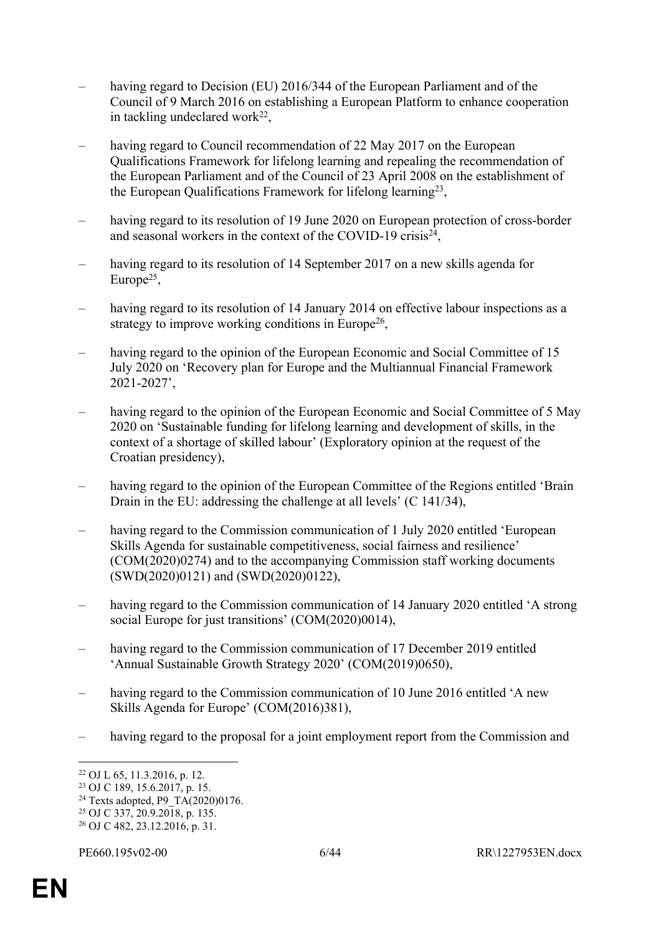- having regard to Decision (EU) 2016/344 of the European Parliament and of the Council of 9 March 2016 on establishing a European Platform to enhance cooperation in tackling undeclared work<sup>22</sup>,
- having regard to Council recommendation of 22 May 2017 on the European Qualifications Framework for lifelong learning and repealing the recommendation of the European Parliament and of the Council of 23 April 2008 on the establishment of the European Qualifications Framework for lifelong learning<sup>23</sup>,
- having regard to its resolution of 19 June 2020 on European protection of cross-border and seasonal workers in the context of the COVID-19 crisis<sup>24</sup>,
- having regard to its resolution of 14 September 2017 on a new skills agenda for Europe<sup>25</sup>,
- having regard to its resolution of 14 January 2014 on effective labour inspections as a strategy to improve working conditions in Europe<sup>26</sup>,
- having regard to the opinion of the European Economic and Social Committee of 15 July 2020 on 'Recovery plan for Europe and the Multiannual Financial Framework 2021-2027',
- having regard to the opinion of the European Economic and Social Committee of 5 May 2020 on 'Sustainable funding for lifelong learning and development of skills, in the context of a shortage of skilled labour' (Exploratory opinion at the request of the Croatian presidency),
- having regard to the opinion of the European Committee of the Regions entitled 'Brain Drain in the EU: addressing the challenge at all levels' (C 141/34),
- having regard to the Commission communication of 1 July 2020 entitled 'European Skills Agenda for sustainable competitiveness, social fairness and resilience' (COM(2020)0274) and to the accompanying Commission staff working documents (SWD(2020)0121) and (SWD(2020)0122),
- having regard to the Commission communication of 14 January 2020 entitled 'A strong social Europe for just transitions' (COM(2020)0014),
- having regard to the Commission communication of 17 December 2019 entitled 'Annual Sustainable Growth Strategy 2020' (COM(2019)0650),
- having regard to the Commission communication of 10 June 2016 entitled 'A new Skills Agenda for Europe' (COM(2016)381),
- having regard to the proposal for a joint employment report from the Commission and

<sup>22</sup> OJ L 65, 11.3.2016, p. 12.

<sup>23</sup> OJ C 189, 15.6.2017, p. 15.

<sup>&</sup>lt;sup>24</sup> Texts adopted, P9\_TA(2020)0176.

<sup>25</sup> OJ C 337, 20.9.2018, p. 135.

<sup>26</sup> OJ C 482, 23.12.2016, p. 31.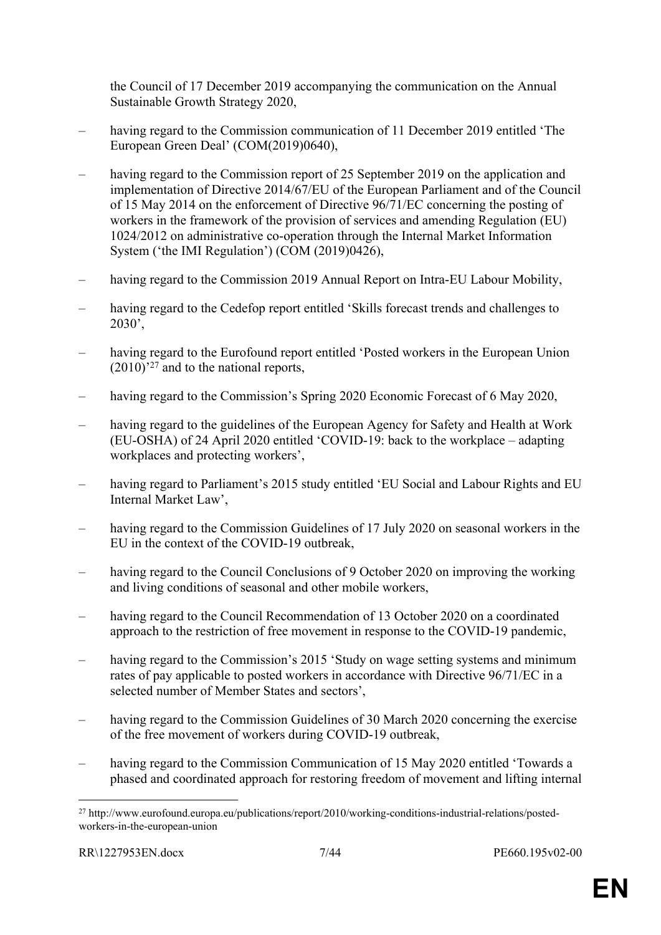the Council of 17 December 2019 accompanying the communication on the Annual Sustainable Growth Strategy 2020,

- having regard to the Commission communication of 11 December 2019 entitled 'The European Green Deal' (COM(2019)0640),
- having regard to the Commission report of 25 September 2019 on the application and implementation of Directive 2014/67/EU of the European Parliament and of the Council of 15 May 2014 on the enforcement of Directive 96/71/EC concerning the posting of workers in the framework of the provision of services and amending Regulation (EU) 1024/2012 on administrative co-operation through the Internal Market Information System ('the IMI Regulation') (COM (2019)0426),
- having regard to the Commission 2019 Annual Report on Intra-EU Labour Mobility,
- having regard to the Cedefop report entitled 'Skills forecast trends and challenges to 2030',
- having regard to the Eurofound report entitled 'Posted workers in the European Union  $(2010)^{27}$  and to the national reports,
- having regard to the Commission's Spring 2020 Economic Forecast of 6 May 2020,
- having regard to the guidelines of the European Agency for Safety and Health at Work (EU-OSHA) of 24 April 2020 entitled 'COVID-19: back to the workplace – adapting workplaces and protecting workers',
- having regard to Parliament's 2015 study entitled 'EU Social and Labour Rights and EU Internal Market Law',
- having regard to the Commission Guidelines of 17 July 2020 on seasonal workers in the EU in the context of the COVID-19 outbreak,
- having regard to the Council Conclusions of 9 October 2020 on improving the working and living conditions of seasonal and other mobile workers,
- having regard to the Council Recommendation of 13 October 2020 on a coordinated approach to the restriction of free movement in response to the COVID-19 pandemic,
- having regard to the Commission's 2015 'Study on wage setting systems and minimum rates of pay applicable to posted workers in accordance with Directive 96/71/EC in a selected number of Member States and sectors',
- having regard to the Commission Guidelines of 30 March 2020 concerning the exercise of the free movement of workers during COVID-19 outbreak,
- having regard to the Commission Communication of 15 May 2020 entitled 'Towards a phased and coordinated approach for restoring freedom of movement and lifting internal

<sup>27</sup> http://www.eurofound.europa.eu/publications/report/2010/working-conditions-industrial-relations/postedworkers-in-the-european-union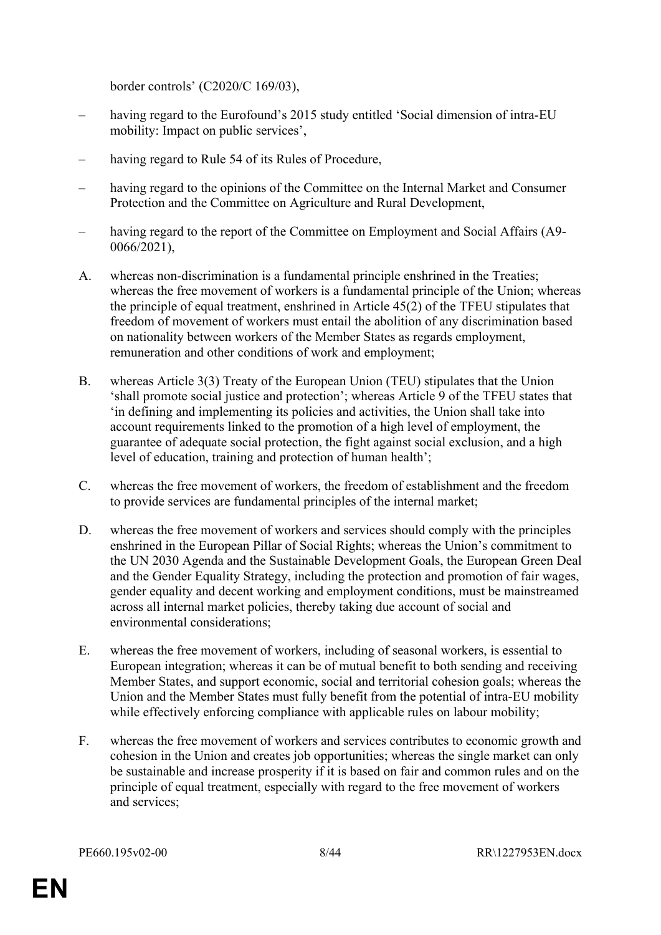border controls' (C2020/C 169/03),

- having regard to the Eurofound's 2015 study entitled 'Social dimension of intra-EU mobility: Impact on public services',
- having regard to Rule 54 of its Rules of Procedure,
- having regard to the opinions of the Committee on the Internal Market and Consumer Protection and the Committee on Agriculture and Rural Development,
- having regard to the report of the Committee on Employment and Social Affairs (A9-0066/2021),
- A. whereas non-discrimination is a fundamental principle enshrined in the Treaties; whereas the free movement of workers is a fundamental principle of the Union; whereas the principle of equal treatment, enshrined in Article 45(2) of the TFEU stipulates that freedom of movement of workers must entail the abolition of any discrimination based on nationality between workers of the Member States as regards employment, remuneration and other conditions of work and employment;
- B. whereas Article 3(3) Treaty of the European Union (TEU) stipulates that the Union 'shall promote social justice and protection'; whereas Article 9 of the TFEU states that 'in defining and implementing its policies and activities, the Union shall take into account requirements linked to the promotion of a high level of employment, the guarantee of adequate social protection, the fight against social exclusion, and a high level of education, training and protection of human health';
- C. whereas the free movement of workers, the freedom of establishment and the freedom to provide services are fundamental principles of the internal market;
- D. whereas the free movement of workers and services should comply with the principles enshrined in the European Pillar of Social Rights; whereas the Union's commitment to the UN 2030 Agenda and the Sustainable Development Goals, the European Green Deal and the Gender Equality Strategy, including the protection and promotion of fair wages, gender equality and decent working and employment conditions, must be mainstreamed across all internal market policies, thereby taking due account of social and environmental considerations;
- E. whereas the free movement of workers, including of seasonal workers, is essential to European integration; whereas it can be of mutual benefit to both sending and receiving Member States, and support economic, social and territorial cohesion goals; whereas the Union and the Member States must fully benefit from the potential of intra-EU mobility while effectively enforcing compliance with applicable rules on labour mobility;
- F. whereas the free movement of workers and services contributes to economic growth and cohesion in the Union and creates job opportunities; whereas the single market can only be sustainable and increase prosperity if it is based on fair and common rules and on the principle of equal treatment, especially with regard to the free movement of workers and services;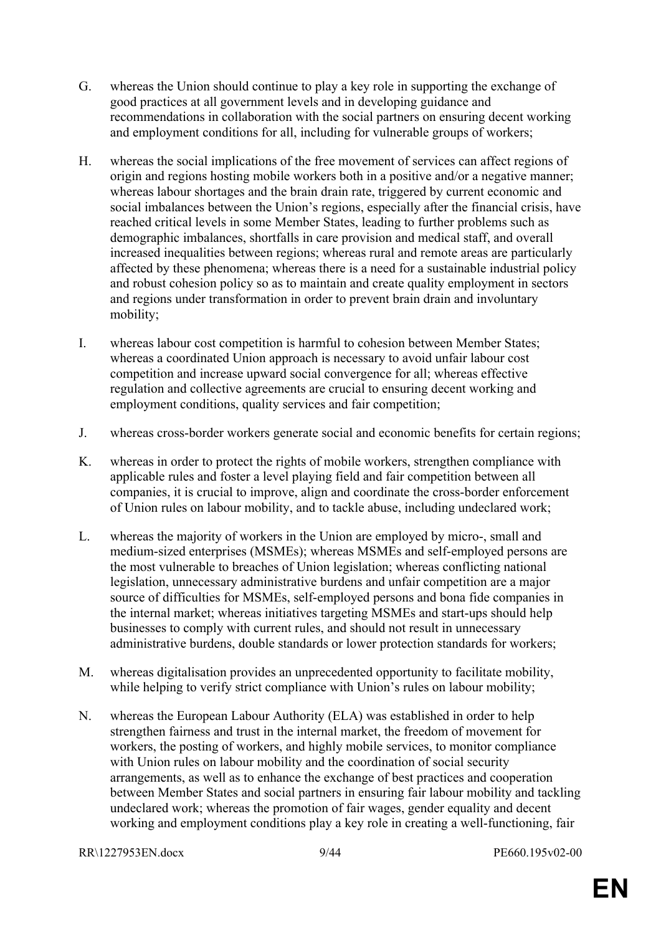- G. whereas the Union should continue to play a key role in supporting the exchange of good practices at all government levels and in developing guidance and recommendations in collaboration with the social partners on ensuring decent working and employment conditions for all, including for vulnerable groups of workers;
- H. whereas the social implications of the free movement of services can affect regions of origin and regions hosting mobile workers both in a positive and/or a negative manner; whereas labour shortages and the brain drain rate, triggered by current economic and social imbalances between the Union's regions, especially after the financial crisis, have reached critical levels in some Member States, leading to further problems such as demographic imbalances, shortfalls in care provision and medical staff, and overall increased inequalities between regions; whereas rural and remote areas are particularly affected by these phenomena; whereas there is a need for a sustainable industrial policy and robust cohesion policy so as to maintain and create quality employment in sectors and regions under transformation in order to prevent brain drain and involuntary mobility;
- I. whereas labour cost competition is harmful to cohesion between Member States; whereas a coordinated Union approach is necessary to avoid unfair labour cost competition and increase upward social convergence for all; whereas effective regulation and collective agreements are crucial to ensuring decent working and employment conditions, quality services and fair competition;
- J. whereas cross-border workers generate social and economic benefits for certain regions;
- K. whereas in order to protect the rights of mobile workers, strengthen compliance with applicable rules and foster a level playing field and fair competition between all companies, it is crucial to improve, align and coordinate the cross-border enforcement of Union rules on labour mobility, and to tackle abuse, including undeclared work;
- L. whereas the majority of workers in the Union are employed by micro-, small and medium-sized enterprises (MSMEs); whereas MSMEs and self-employed persons are the most vulnerable to breaches of Union legislation; whereas conflicting national legislation, unnecessary administrative burdens and unfair competition are a major source of difficulties for MSMEs, self-employed persons and bona fide companies in the internal market; whereas initiatives targeting MSMEs and start-ups should help businesses to comply with current rules, and should not result in unnecessary administrative burdens, double standards or lower protection standards for workers;
- M. whereas digitalisation provides an unprecedented opportunity to facilitate mobility, while helping to verify strict compliance with Union's rules on labour mobility;
- N. whereas the European Labour Authority (ELA) was established in order to help strengthen fairness and trust in the internal market, the freedom of movement for workers, the posting of workers, and highly mobile services, to monitor compliance with Union rules on labour mobility and the coordination of social security arrangements, as well as to enhance the exchange of best practices and cooperation between Member States and social partners in ensuring fair labour mobility and tackling undeclared work; whereas the promotion of fair wages, gender equality and decent working and employment conditions play a key role in creating a well-functioning, fair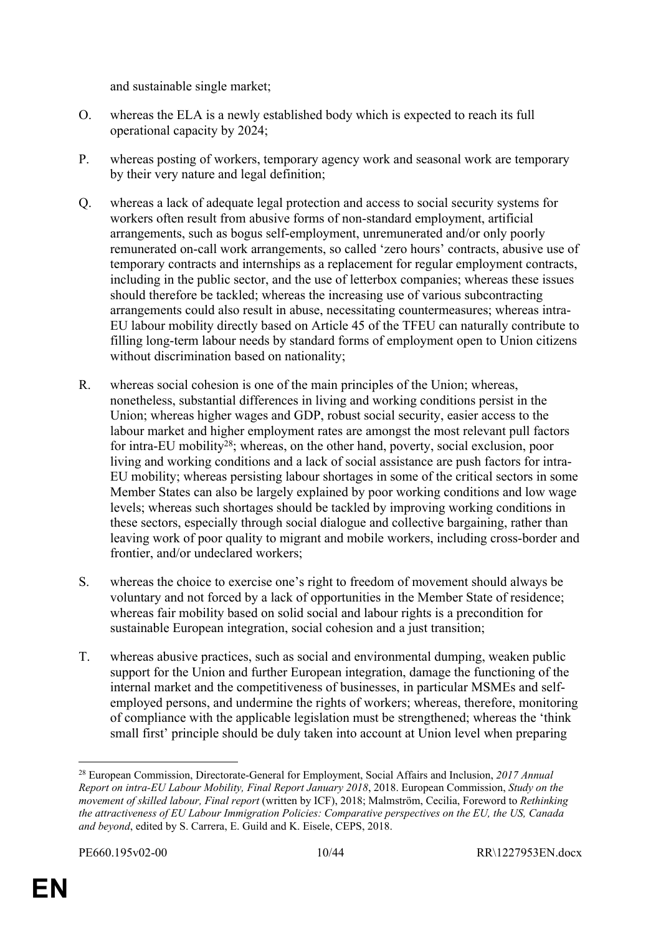and sustainable single market;

- O. whereas the ELA is a newly established body which is expected to reach its full operational capacity by 2024;
- P. whereas posting of workers, temporary agency work and seasonal work are temporary by their very nature and legal definition;
- Q. whereas a lack of adequate legal protection and access to social security systems for workers often result from abusive forms of non-standard employment, artificial arrangements, such as bogus self-employment, unremunerated and/or only poorly remunerated on-call work arrangements, so called 'zero hours' contracts, abusive use of temporary contracts and internships as a replacement for regular employment contracts, including in the public sector, and the use of letterbox companies; whereas these issues should therefore be tackled; whereas the increasing use of various subcontracting arrangements could also result in abuse, necessitating countermeasures; whereas intra-EU labour mobility directly based on Article 45 of the TFEU can naturally contribute to filling long-term labour needs by standard forms of employment open to Union citizens without discrimination based on nationality;
- R. whereas social cohesion is one of the main principles of the Union; whereas, nonetheless, substantial differences in living and working conditions persist in the Union; whereas higher wages and GDP, robust social security, easier access to the labour market and higher employment rates are amongst the most relevant pull factors for intra-EU mobility<sup>28</sup>; whereas, on the other hand, poverty, social exclusion, poor living and working conditions and a lack of social assistance are push factors for intra-EU mobility; whereas persisting labour shortages in some of the critical sectors in some Member States can also be largely explained by poor working conditions and low wage levels; whereas such shortages should be tackled by improving working conditions in these sectors, especially through social dialogue and collective bargaining, rather than leaving work of poor quality to migrant and mobile workers, including cross-border and frontier, and/or undeclared workers;
- S. whereas the choice to exercise one's right to freedom of movement should always be voluntary and not forced by a lack of opportunities in the Member State of residence; whereas fair mobility based on solid social and labour rights is a precondition for sustainable European integration, social cohesion and a just transition;
- T. whereas abusive practices, such as social and environmental dumping, weaken public support for the Union and further European integration, damage the functioning of the internal market and the competitiveness of businesses, in particular MSMEs and selfemployed persons, and undermine the rights of workers; whereas, therefore, monitoring of compliance with the applicable legislation must be strengthened; whereas the 'think small first' principle should be duly taken into account at Union level when preparing

<sup>28</sup> European Commission, Directorate-General for Employment, Social Affairs and Inclusion, *2017 Annual Report on intra-EU Labour Mobility, Final Report January 2018*, 2018. European Commission, *Study on the movement of skilled labour, Final report* (written by ICF), 2018; Malmström, Cecilia, Foreword to *Rethinking the attractiveness of EU Labour Immigration Policies: Comparative perspectives on the EU, the US, Canada and beyond*, edited by S. Carrera, E. Guild and K. Eisele, CEPS, 2018.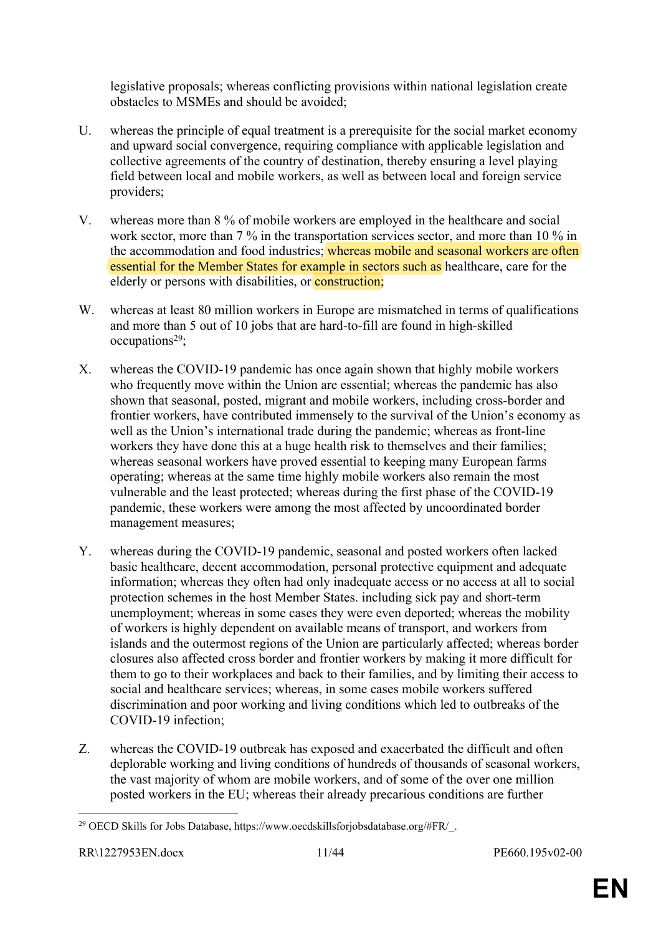legislative proposals; whereas conflicting provisions within national legislation create obstacles to MSMEs and should be avoided;

- U. whereas the principle of equal treatment is a prerequisite for the social market economy and upward social convergence, requiring compliance with applicable legislation and collective agreements of the country of destination, thereby ensuring a level playing field between local and mobile workers, as well as between local and foreign service providers;
- V. whereas more than 8 % of mobile workers are employed in the healthcare and social work sector, more than 7 % in the transportation services sector, and more than 10 % in the accommodation and food industries; whereas mobile and seasonal workers are often essential for the Member States for example in sectors such as healthcare, care for the elderly or persons with disabilities, or **construction**;
- W. whereas at least 80 million workers in Europe are mismatched in terms of qualifications and more than 5 out of 10 jobs that are hard-to-fill are found in high-skilled  $occupations<sup>29</sup>$ ;
- X. whereas the COVID-19 pandemic has once again shown that highly mobile workers who frequently move within the Union are essential; whereas the pandemic has also shown that seasonal, posted, migrant and mobile workers, including cross-border and frontier workers, have contributed immensely to the survival of the Union's economy as well as the Union's international trade during the pandemic; whereas as front-line workers they have done this at a huge health risk to themselves and their families; whereas seasonal workers have proved essential to keeping many European farms operating; whereas at the same time highly mobile workers also remain the most vulnerable and the least protected; whereas during the first phase of the COVID-19 pandemic, these workers were among the most affected by uncoordinated border management measures;
- Y. whereas during the COVID-19 pandemic, seasonal and posted workers often lacked basic healthcare, decent accommodation, personal protective equipment and adequate information; whereas they often had only inadequate access or no access at all to social protection schemes in the host Member States. including sick pay and short-term unemployment; whereas in some cases they were even deported; whereas the mobility of workers is highly dependent on available means of transport, and workers from islands and the outermost regions of the Union are particularly affected; whereas border closures also affected cross border and frontier workers by making it more difficult for them to go to their workplaces and back to their families, and by limiting their access to social and healthcare services; whereas, in some cases mobile workers suffered discrimination and poor working and living conditions which led to outbreaks of the COVID-19 infection;
- Z. whereas the COVID-19 outbreak has exposed and exacerbated the difficult and often deplorable working and living conditions of hundreds of thousands of seasonal workers, the vast majority of whom are mobile workers, and of some of the over one million posted workers in the EU; whereas their already precarious conditions are further

<sup>29</sup> OECD Skills for Jobs Database, https://www.oecdskillsforjobsdatabase.org/#FR/\_.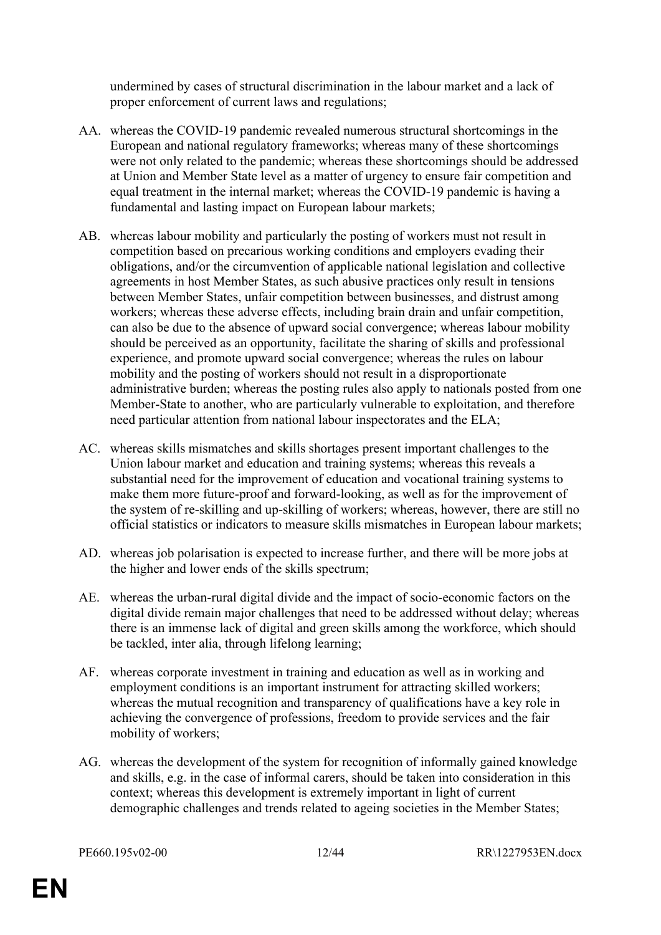undermined by cases of structural discrimination in the labour market and a lack of proper enforcement of current laws and regulations;

- AA. whereas the COVID-19 pandemic revealed numerous structural shortcomings in the European and national regulatory frameworks; whereas many of these shortcomings were not only related to the pandemic; whereas these shortcomings should be addressed at Union and Member State level as a matter of urgency to ensure fair competition and equal treatment in the internal market; whereas the COVID-19 pandemic is having a fundamental and lasting impact on European labour markets;
- AB. whereas labour mobility and particularly the posting of workers must not result in competition based on precarious working conditions and employers evading their obligations, and/or the circumvention of applicable national legislation and collective agreements in host Member States, as such abusive practices only result in tensions between Member States, unfair competition between businesses, and distrust among workers; whereas these adverse effects, including brain drain and unfair competition, can also be due to the absence of upward social convergence; whereas labour mobility should be perceived as an opportunity, facilitate the sharing of skills and professional experience, and promote upward social convergence; whereas the rules on labour mobility and the posting of workers should not result in a disproportionate administrative burden; whereas the posting rules also apply to nationals posted from one Member-State to another, who are particularly vulnerable to exploitation, and therefore need particular attention from national labour inspectorates and the ELA;
- AC. whereas skills mismatches and skills shortages present important challenges to the Union labour market and education and training systems; whereas this reveals a substantial need for the improvement of education and vocational training systems to make them more future-proof and forward-looking, as well as for the improvement of the system of re-skilling and up-skilling of workers; whereas, however, there are still no official statistics or indicators to measure skills mismatches in European labour markets;
- AD. whereas job polarisation is expected to increase further, and there will be more jobs at the higher and lower ends of the skills spectrum;
- AE. whereas the urban-rural digital divide and the impact of socio-economic factors on the digital divide remain major challenges that need to be addressed without delay; whereas there is an immense lack of digital and green skills among the workforce, which should be tackled, inter alia, through lifelong learning;
- AF. whereas corporate investment in training and education as well as in working and employment conditions is an important instrument for attracting skilled workers; whereas the mutual recognition and transparency of qualifications have a key role in achieving the convergence of professions, freedom to provide services and the fair mobility of workers;
- AG. whereas the development of the system for recognition of informally gained knowledge and skills, e.g. in the case of informal carers, should be taken into consideration in this context; whereas this development is extremely important in light of current demographic challenges and trends related to ageing societies in the Member States;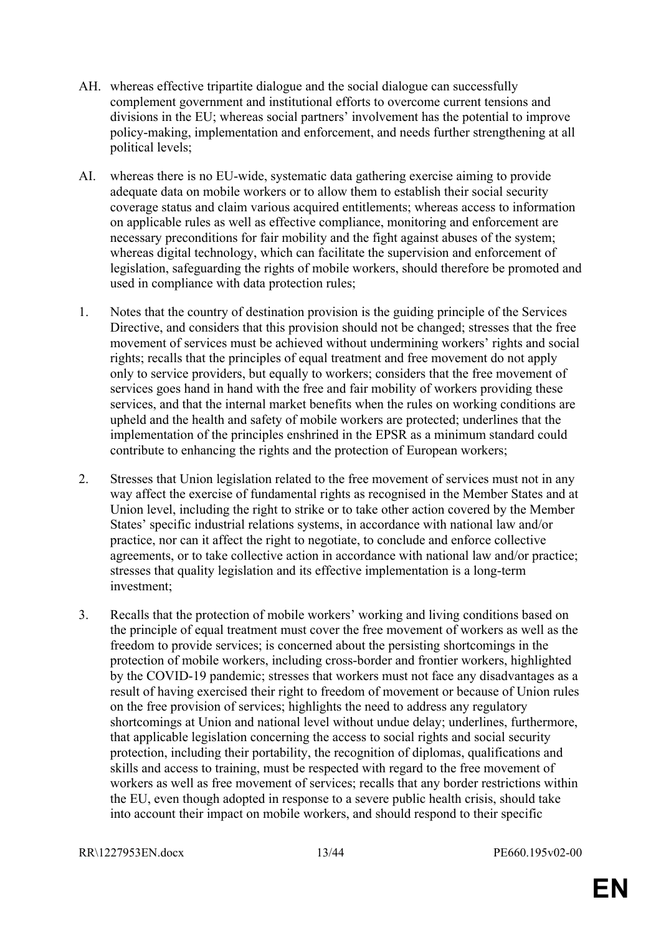- AH. whereas effective tripartite dialogue and the social dialogue can successfully complement government and institutional efforts to overcome current tensions and divisions in the EU; whereas social partners' involvement has the potential to improve policy-making, implementation and enforcement, and needs further strengthening at all political levels;
- AI. whereas there is no EU-wide, systematic data gathering exercise aiming to provide adequate data on mobile workers or to allow them to establish their social security coverage status and claim various acquired entitlements; whereas access to information on applicable rules as well as effective compliance, monitoring and enforcement are necessary preconditions for fair mobility and the fight against abuses of the system; whereas digital technology, which can facilitate the supervision and enforcement of legislation, safeguarding the rights of mobile workers, should therefore be promoted and used in compliance with data protection rules;
- 1. Notes that the country of destination provision is the guiding principle of the Services Directive, and considers that this provision should not be changed; stresses that the free movement of services must be achieved without undermining workers' rights and social rights; recalls that the principles of equal treatment and free movement do not apply only to service providers, but equally to workers; considers that the free movement of services goes hand in hand with the free and fair mobility of workers providing these services, and that the internal market benefits when the rules on working conditions are upheld and the health and safety of mobile workers are protected; underlines that the implementation of the principles enshrined in the EPSR as a minimum standard could contribute to enhancing the rights and the protection of European workers;
- 2. Stresses that Union legislation related to the free movement of services must not in any way affect the exercise of fundamental rights as recognised in the Member States and at Union level, including the right to strike or to take other action covered by the Member States' specific industrial relations systems, in accordance with national law and/or practice, nor can it affect the right to negotiate, to conclude and enforce collective agreements, or to take collective action in accordance with national law and/or practice; stresses that quality legislation and its effective implementation is a long-term investment;
- 3. Recalls that the protection of mobile workers' working and living conditions based on the principle of equal treatment must cover the free movement of workers as well as the freedom to provide services; is concerned about the persisting shortcomings in the protection of mobile workers, including cross-border and frontier workers, highlighted by the COVID-19 pandemic; stresses that workers must not face any disadvantages as a result of having exercised their right to freedom of movement or because of Union rules on the free provision of services; highlights the need to address any regulatory shortcomings at Union and national level without undue delay; underlines, furthermore, that applicable legislation concerning the access to social rights and social security protection, including their portability, the recognition of diplomas, qualifications and skills and access to training, must be respected with regard to the free movement of workers as well as free movement of services; recalls that any border restrictions within the EU, even though adopted in response to a severe public health crisis, should take into account their impact on mobile workers, and should respond to their specific

RR\1227953EN.docx 13/44 PE660.195v02-00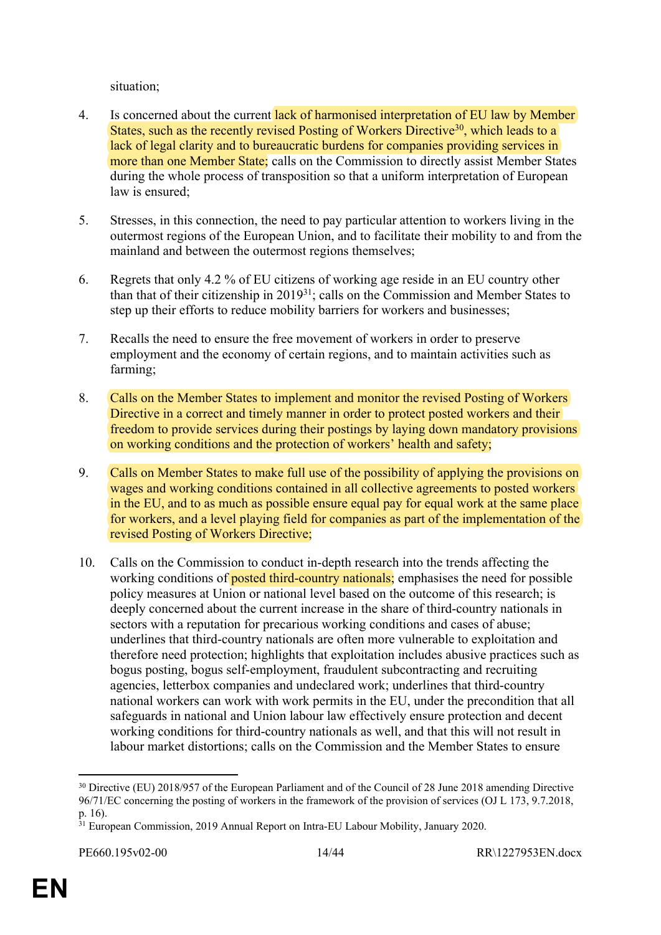situation;

- 4. Is concerned about the current lack of harmonised interpretation of EU law by Member States, such as the recently revised Posting of Workers Directive<sup>30</sup>, which leads to a lack of legal clarity and to bureaucratic burdens for companies providing services in more than one Member State; calls on the Commission to directly assist Member States during the whole process of transposition so that a uniform interpretation of European law is ensured:
- 5. Stresses, in this connection, the need to pay particular attention to workers living in the outermost regions of the European Union, and to facilitate their mobility to and from the mainland and between the outermost regions themselves;
- 6. Regrets that only 4.2 % of EU citizens of working age reside in an EU country other than that of their citizenship in 2019<sup>31</sup>; calls on the Commission and Member States to step up their efforts to reduce mobility barriers for workers and businesses;
- 7. Recalls the need to ensure the free movement of workers in order to preserve employment and the economy of certain regions, and to maintain activities such as farming;
- 8. Calls on the Member States to implement and monitor the revised Posting of Workers Directive in a correct and timely manner in order to protect posted workers and their freedom to provide services during their postings by laying down mandatory provisions on working conditions and the protection of workers' health and safety;
- 9. Calls on Member States to make full use of the possibility of applying the provisions on wages and working conditions contained in all collective agreements to posted workers in the EU, and to as much as possible ensure equal pay for equal work at the same place for workers, and a level playing field for companies as part of the implementation of the revised Posting of Workers Directive;
- 10. Calls on the Commission to conduct in-depth research into the trends affecting the working conditions of **posted third-country nationals**; emphasises the need for possible policy measures at Union or national level based on the outcome of this research; is deeply concerned about the current increase in the share of third-country nationals in sectors with a reputation for precarious working conditions and cases of abuse; underlines that third-country nationals are often more vulnerable to exploitation and therefore need protection; highlights that exploitation includes abusive practices such as bogus posting, bogus self-employment, fraudulent subcontracting and recruiting agencies, letterbox companies and undeclared work; underlines that third-country national workers can work with work permits in the EU, under the precondition that all safeguards in national and Union labour law effectively ensure protection and decent working conditions for third-country nationals as well, and that this will not result in labour market distortions; calls on the Commission and the Member States to ensure

<sup>&</sup>lt;sup>30</sup> Directive (EU) 2018/957 of the European Parliament and of the Council of 28 June 2018 amending Directive 96/71/EC concerning the posting of workers in the framework of the provision of services (OJ L 173, 9.7.2018, p. 16).

<sup>&</sup>lt;sup>31</sup> European Commission, 2019 Annual Report on Intra-EU Labour Mobility, January 2020.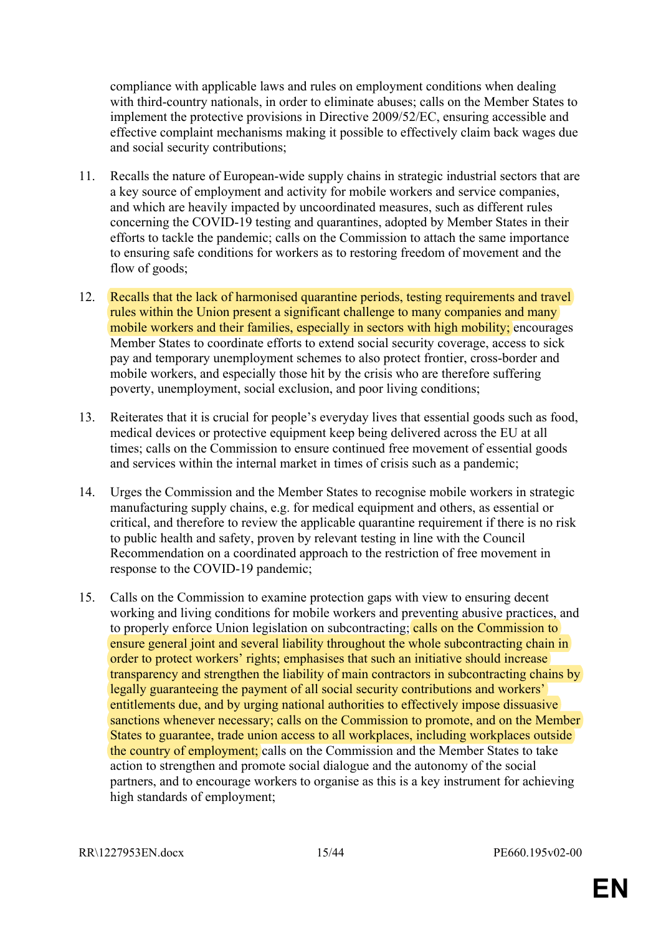compliance with applicable laws and rules on employment conditions when dealing with third-country nationals, in order to eliminate abuses; calls on the Member States to implement the protective provisions in Directive 2009/52/EC, ensuring accessible and effective complaint mechanisms making it possible to effectively claim back wages due and social security contributions;

- 11. Recalls the nature of European-wide supply chains in strategic industrial sectors that are a key source of employment and activity for mobile workers and service companies, and which are heavily impacted by uncoordinated measures, such as different rules concerning the COVID-19 testing and quarantines, adopted by Member States in their efforts to tackle the pandemic; calls on the Commission to attach the same importance to ensuring safe conditions for workers as to restoring freedom of movement and the flow of goods;
- 12. Recalls that the lack of harmonised quarantine periods, testing requirements and travel rules within the Union present a significant challenge to many companies and many mobile workers and their families, especially in sectors with high mobility; encourages Member States to coordinate efforts to extend social security coverage, access to sick pay and temporary unemployment schemes to also protect frontier, cross-border and mobile workers, and especially those hit by the crisis who are therefore suffering poverty, unemployment, social exclusion, and poor living conditions;
- 13. Reiterates that it is crucial for people's everyday lives that essential goods such as food, medical devices or protective equipment keep being delivered across the EU at all times; calls on the Commission to ensure continued free movement of essential goods and services within the internal market in times of crisis such as a pandemic;
- 14. Urges the Commission and the Member States to recognise mobile workers in strategic manufacturing supply chains, e.g. for medical equipment and others, as essential or critical, and therefore to review the applicable quarantine requirement if there is no risk to public health and safety, proven by relevant testing in line with the Council Recommendation on a coordinated approach to the restriction of free movement in response to the COVID-19 pandemic;
- 15. Calls on the Commission to examine protection gaps with view to ensuring decent working and living conditions for mobile workers and preventing abusive practices, and to properly enforce Union legislation on subcontracting; calls on the Commission to ensure general joint and several liability throughout the whole subcontracting chain in order to protect workers' rights; emphasises that such an initiative should increase transparency and strengthen the liability of main contractors in subcontracting chains by legally guaranteeing the payment of all social security contributions and workers' entitlements due, and by urging national authorities to effectively impose dissuasive sanctions whenever necessary; calls on the Commission to promote, and on the Member States to guarantee, trade union access to all workplaces, including workplaces outside the country of employment; calls on the Commission and the Member States to take action to strengthen and promote social dialogue and the autonomy of the social partners, and to encourage workers to organise as this is a key instrument for achieving high standards of employment;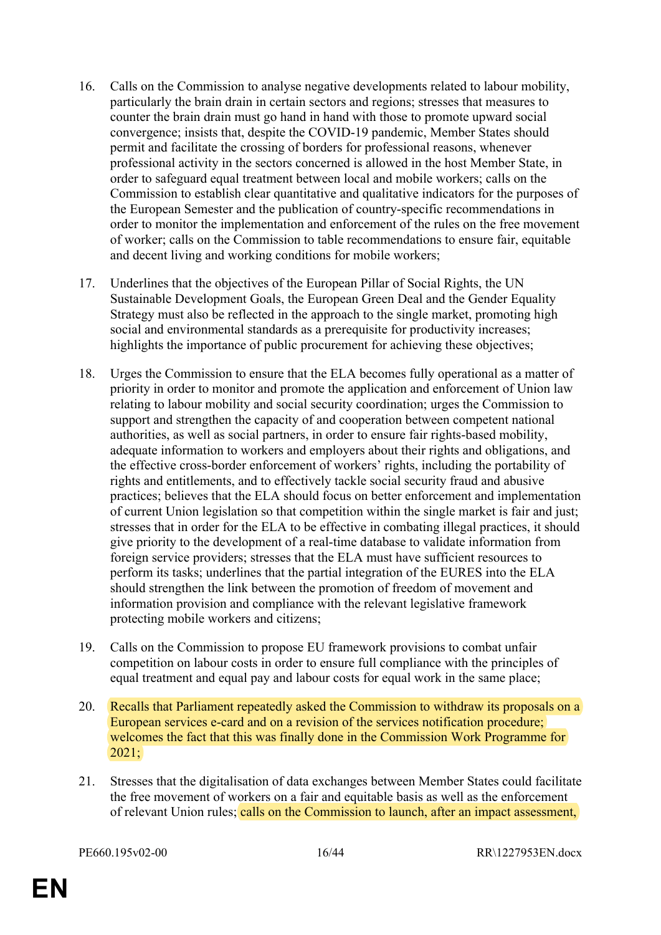- 16. Calls on the Commission to analyse negative developments related to labour mobility, particularly the brain drain in certain sectors and regions; stresses that measures to counter the brain drain must go hand in hand with those to promote upward social convergence; insists that, despite the COVID-19 pandemic, Member States should permit and facilitate the crossing of borders for professional reasons, whenever professional activity in the sectors concerned is allowed in the host Member State, in order to safeguard equal treatment between local and mobile workers; calls on the Commission to establish clear quantitative and qualitative indicators for the purposes of the European Semester and the publication of country-specific recommendations in order to monitor the implementation and enforcement of the rules on the free movement of worker; calls on the Commission to table recommendations to ensure fair, equitable and decent living and working conditions for mobile workers;
- 17. Underlines that the objectives of the European Pillar of Social Rights, the UN Sustainable Development Goals, the European Green Deal and the Gender Equality Strategy must also be reflected in the approach to the single market, promoting high social and environmental standards as a prerequisite for productivity increases; highlights the importance of public procurement for achieving these objectives;
- 18. Urges the Commission to ensure that the ELA becomes fully operational as a matter of priority in order to monitor and promote the application and enforcement of Union law relating to labour mobility and social security coordination; urges the Commission to support and strengthen the capacity of and cooperation between competent national authorities, as well as social partners, in order to ensure fair rights-based mobility, adequate information to workers and employers about their rights and obligations, and the effective cross-border enforcement of workers' rights, including the portability of rights and entitlements, and to effectively tackle social security fraud and abusive practices; believes that the ELA should focus on better enforcement and implementation of current Union legislation so that competition within the single market is fair and just; stresses that in order for the ELA to be effective in combating illegal practices, it should give priority to the development of a real-time database to validate information from foreign service providers; stresses that the ELA must have sufficient resources to perform its tasks; underlines that the partial integration of the EURES into the ELA should strengthen the link between the promotion of freedom of movement and information provision and compliance with the relevant legislative framework protecting mobile workers and citizens;
- 19. Calls on the Commission to propose EU framework provisions to combat unfair competition on labour costs in order to ensure full compliance with the principles of equal treatment and equal pay and labour costs for equal work in the same place;
- 20. Recalls that Parliament repeatedly asked the Commission to withdraw its proposals on a European services e-card and on a revision of the services notification procedure; welcomes the fact that this was finally done in the Commission Work Programme for 2021;
- 21. Stresses that the digitalisation of data exchanges between Member States could facilitate the free movement of workers on a fair and equitable basis as well as the enforcement of relevant Union rules; calls on the Commission to launch, after an impact assessment,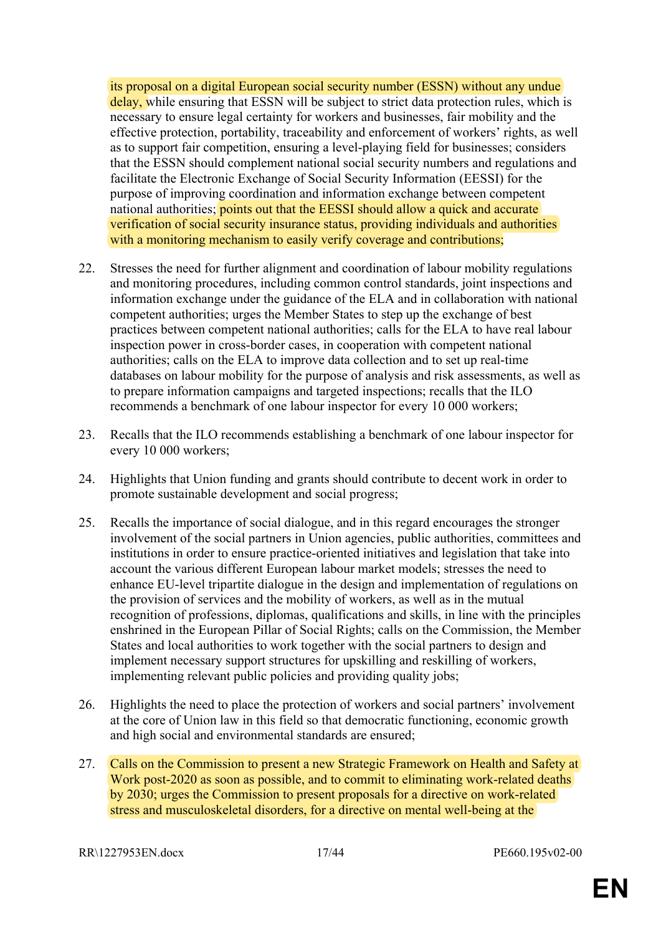its proposal on a digital European social security number (ESSN) without any undue delay, while ensuring that ESSN will be subject to strict data protection rules, which is necessary to ensure legal certainty for workers and businesses, fair mobility and the effective protection, portability, traceability and enforcement of workers' rights, as well as to support fair competition, ensuring a level-playing field for businesses; considers that the ESSN should complement national social security numbers and regulations and facilitate the Electronic Exchange of Social Security Information (EESSI) for the purpose of improving coordination and information exchange between competent national authorities; points out that the EESSI should allow a quick and accurate verification of social security insurance status, providing individuals and authorities with a monitoring mechanism to easily verify coverage and contributions;

- 22. Stresses the need for further alignment and coordination of labour mobility regulations and monitoring procedures, including common control standards, joint inspections and information exchange under the guidance of the ELA and in collaboration with national competent authorities; urges the Member States to step up the exchange of best practices between competent national authorities; calls for the ELA to have real labour inspection power in cross-border cases, in cooperation with competent national authorities; calls on the ELA to improve data collection and to set up real-time databases on labour mobility for the purpose of analysis and risk assessments, as well as to prepare information campaigns and targeted inspections; recalls that the ILO recommends a benchmark of one labour inspector for every 10 000 workers;
- 23. Recalls that the ILO recommends establishing a benchmark of one labour inspector for every 10 000 workers;
- 24. Highlights that Union funding and grants should contribute to decent work in order to promote sustainable development and social progress;
- 25. Recalls the importance of social dialogue, and in this regard encourages the stronger involvement of the social partners in Union agencies, public authorities, committees and institutions in order to ensure practice-oriented initiatives and legislation that take into account the various different European labour market models; stresses the need to enhance EU-level tripartite dialogue in the design and implementation of regulations on the provision of services and the mobility of workers, as well as in the mutual recognition of professions, diplomas, qualifications and skills, in line with the principles enshrined in the European Pillar of Social Rights; calls on the Commission, the Member States and local authorities to work together with the social partners to design and implement necessary support structures for upskilling and reskilling of workers, implementing relevant public policies and providing quality jobs;
- 26. Highlights the need to place the protection of workers and social partners' involvement at the core of Union law in this field so that democratic functioning, economic growth and high social and environmental standards are ensured;
- 27. Calls on the Commission to present a new Strategic Framework on Health and Safety at Work post-2020 as soon as possible, and to commit to eliminating work-related deaths by 2030; urges the Commission to present proposals for a directive on work-related stress and musculoskeletal disorders, for a directive on mental well-being at the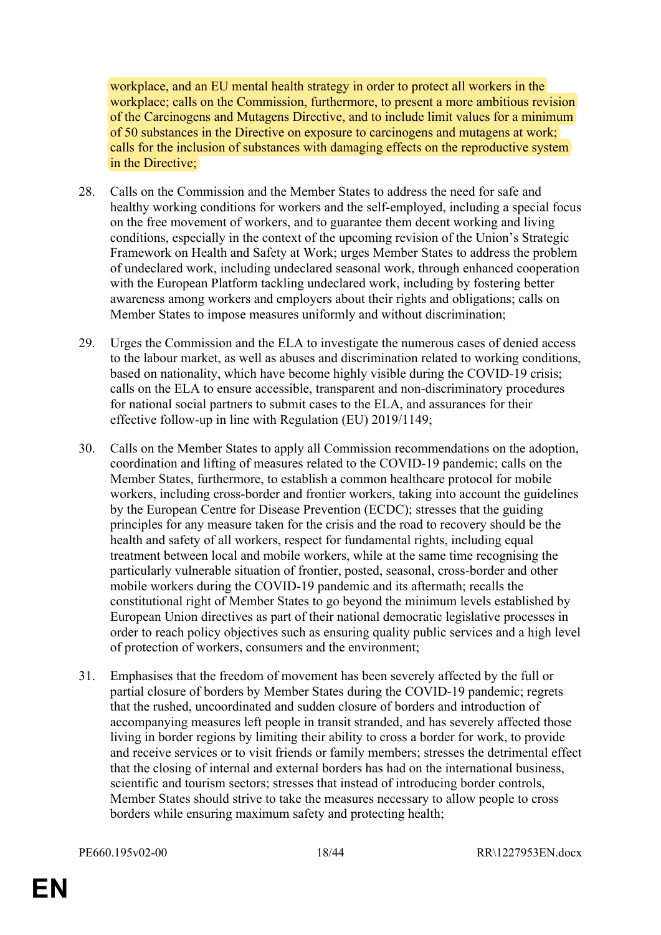workplace, and an EU mental health strategy in order to protect all workers in the workplace; calls on the Commission, furthermore, to present a more ambitious revision of the Carcinogens and Mutagens Directive, and to include limit values for a minimum of 50 substances in the Directive on exposure to carcinogens and mutagens at work; calls for the inclusion of substances with damaging effects on the reproductive system in the Directive;

- 28. Calls on the Commission and the Member States to address the need for safe and healthy working conditions for workers and the self-employed, including a special focus on the free movement of workers, and to guarantee them decent working and living conditions, especially in the context of the upcoming revision of the Union's Strategic Framework on Health and Safety at Work; urges Member States to address the problem of undeclared work, including undeclared seasonal work, through enhanced cooperation with the European Platform tackling undeclared work, including by fostering better awareness among workers and employers about their rights and obligations; calls on Member States to impose measures uniformly and without discrimination;
- 29. Urges the Commission and the ELA to investigate the numerous cases of denied access to the labour market, as well as abuses and discrimination related to working conditions, based on nationality, which have become highly visible during the COVID-19 crisis; calls on the ELA to ensure accessible, transparent and non-discriminatory procedures for national social partners to submit cases to the ELA, and assurances for their effective follow-up in line with Regulation (EU) 2019/1149;
- 30. Calls on the Member States to apply all Commission recommendations on the adoption, coordination and lifting of measures related to the COVID-19 pandemic; calls on the Member States, furthermore, to establish a common healthcare protocol for mobile workers, including cross-border and frontier workers, taking into account the guidelines by the European Centre for Disease Prevention (ECDC); stresses that the guiding principles for any measure taken for the crisis and the road to recovery should be the health and safety of all workers, respect for fundamental rights, including equal treatment between local and mobile workers, while at the same time recognising the particularly vulnerable situation of frontier, posted, seasonal, cross-border and other mobile workers during the COVID-19 pandemic and its aftermath; recalls the constitutional right of Member States to go beyond the minimum levels established by European Union directives as part of their national democratic legislative processes in order to reach policy objectives such as ensuring quality public services and a high level of protection of workers, consumers and the environment;
- 31. Emphasises that the freedom of movement has been severely affected by the full or partial closure of borders by Member States during the COVID-19 pandemic; regrets that the rushed, uncoordinated and sudden closure of borders and introduction of accompanying measures left people in transit stranded, and has severely affected those living in border regions by limiting their ability to cross a border for work, to provide and receive services or to visit friends or family members; stresses the detrimental effect that the closing of internal and external borders has had on the international business, scientific and tourism sectors; stresses that instead of introducing border controls, Member States should strive to take the measures necessary to allow people to cross borders while ensuring maximum safety and protecting health;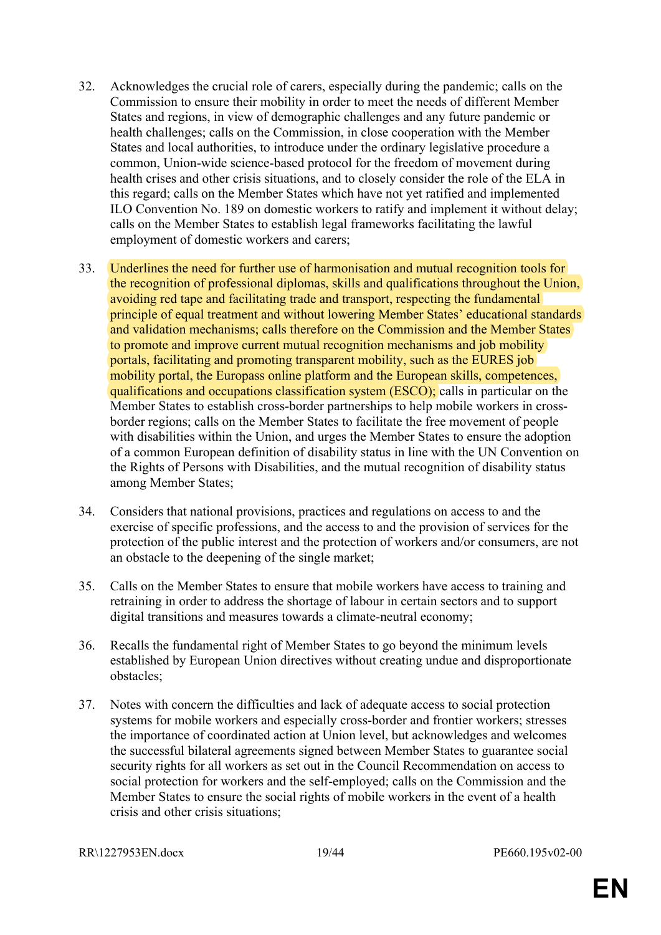- 32. Acknowledges the crucial role of carers, especially during the pandemic; calls on the Commission to ensure their mobility in order to meet the needs of different Member States and regions, in view of demographic challenges and any future pandemic or health challenges; calls on the Commission, in close cooperation with the Member States and local authorities, to introduce under the ordinary legislative procedure a common, Union-wide science-based protocol for the freedom of movement during health crises and other crisis situations, and to closely consider the role of the ELA in this regard; calls on the Member States which have not yet ratified and implemented ILO Convention No. 189 on domestic workers to ratify and implement it without delay; calls on the Member States to establish legal frameworks facilitating the lawful employment of domestic workers and carers;
- 33. Underlines the need for further use of harmonisation and mutual recognition tools for the recognition of professional diplomas, skills and qualifications throughout the Union, avoiding red tape and facilitating trade and transport, respecting the fundamental principle of equal treatment and without lowering Member States' educational standards and validation mechanisms; calls therefore on the Commission and the Member States to promote and improve current mutual recognition mechanisms and job mobility portals, facilitating and promoting transparent mobility, such as the EURES job mobility portal, the Europass online platform and the European skills, competences, qualifications and occupations classification system (ESCO); calls in particular on the Member States to establish cross-border partnerships to help mobile workers in crossborder regions; calls on the Member States to facilitate the free movement of people with disabilities within the Union, and urges the Member States to ensure the adoption of a common European definition of disability status in line with the UN Convention on the Rights of Persons with Disabilities, and the mutual recognition of disability status among Member States;
- 34. Considers that national provisions, practices and regulations on access to and the exercise of specific professions, and the access to and the provision of services for the protection of the public interest and the protection of workers and/or consumers, are not an obstacle to the deepening of the single market;
- 35. Calls on the Member States to ensure that mobile workers have access to training and retraining in order to address the shortage of labour in certain sectors and to support digital transitions and measures towards a climate-neutral economy;
- 36. Recalls the fundamental right of Member States to go beyond the minimum levels established by European Union directives without creating undue and disproportionate obstacles;
- 37. Notes with concern the difficulties and lack of adequate access to social protection systems for mobile workers and especially cross-border and frontier workers; stresses the importance of coordinated action at Union level, but acknowledges and welcomes the successful bilateral agreements signed between Member States to guarantee social security rights for all workers as set out in the Council Recommendation on access to social protection for workers and the self-employed; calls on the Commission and the Member States to ensure the social rights of mobile workers in the event of a health crisis and other crisis situations;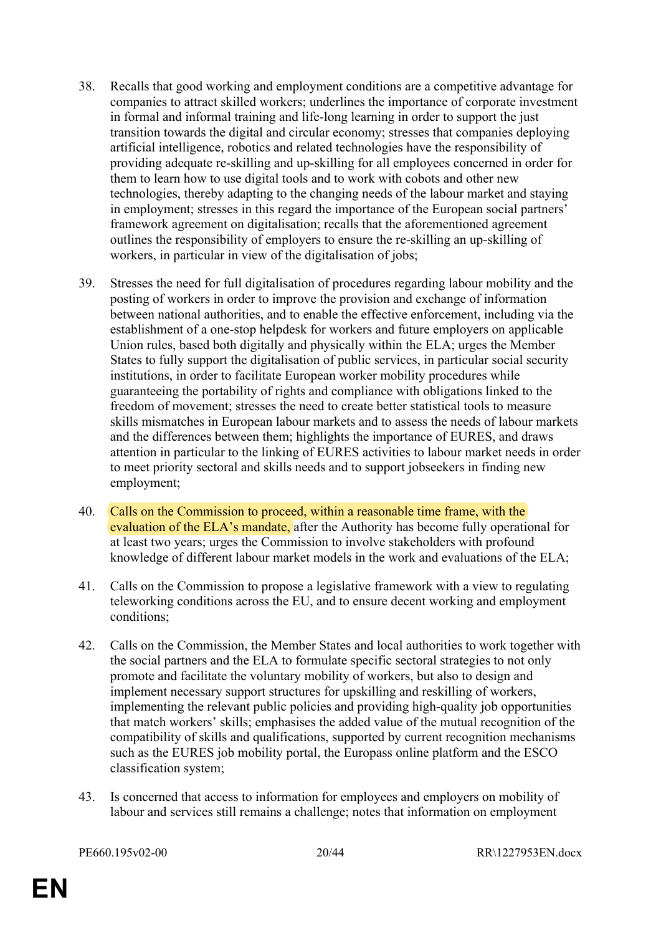- 38. Recalls that good working and employment conditions are a competitive advantage for companies to attract skilled workers; underlines the importance of corporate investment in formal and informal training and life-long learning in order to support the just transition towards the digital and circular economy; stresses that companies deploying artificial intelligence, robotics and related technologies have the responsibility of providing adequate re-skilling and up-skilling for all employees concerned in order for them to learn how to use digital tools and to work with cobots and other new technologies, thereby adapting to the changing needs of the labour market and staying in employment; stresses in this regard the importance of the European social partners' framework agreement on digitalisation; recalls that the aforementioned agreement outlines the responsibility of employers to ensure the re-skilling an up-skilling of workers, in particular in view of the digitalisation of jobs;
- 39. Stresses the need for full digitalisation of procedures regarding labour mobility and the posting of workers in order to improve the provision and exchange of information between national authorities, and to enable the effective enforcement, including via the establishment of a one-stop helpdesk for workers and future employers on applicable Union rules, based both digitally and physically within the ELA; urges the Member States to fully support the digitalisation of public services, in particular social security institutions, in order to facilitate European worker mobility procedures while guaranteeing the portability of rights and compliance with obligations linked to the freedom of movement; stresses the need to create better statistical tools to measure skills mismatches in European labour markets and to assess the needs of labour markets and the differences between them; highlights the importance of EURES, and draws attention in particular to the linking of EURES activities to labour market needs in order to meet priority sectoral and skills needs and to support jobseekers in finding new employment;
- 40. Calls on the Commission to proceed, within a reasonable time frame, with the evaluation of the ELA's mandate, after the Authority has become fully operational for at least two years; urges the Commission to involve stakeholders with profound knowledge of different labour market models in the work and evaluations of the ELA;
- 41. Calls on the Commission to propose a legislative framework with a view to regulating teleworking conditions across the EU, and to ensure decent working and employment conditions;
- 42. Calls on the Commission, the Member States and local authorities to work together with the social partners and the ELA to formulate specific sectoral strategies to not only promote and facilitate the voluntary mobility of workers, but also to design and implement necessary support structures for upskilling and reskilling of workers, implementing the relevant public policies and providing high-quality job opportunities that match workers' skills; emphasises the added value of the mutual recognition of the compatibility of skills and qualifications, supported by current recognition mechanisms such as the EURES job mobility portal, the Europass online platform and the ESCO classification system;
- 43. Is concerned that access to information for employees and employers on mobility of labour and services still remains a challenge; notes that information on employment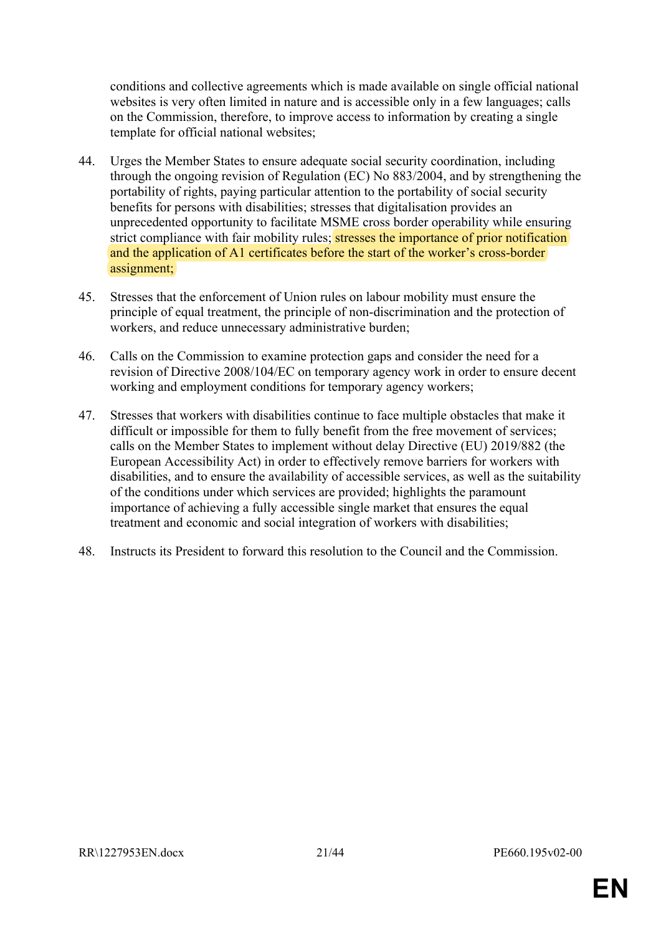conditions and collective agreements which is made available on single official national websites is very often limited in nature and is accessible only in a few languages; calls on the Commission, therefore, to improve access to information by creating a single template for official national websites;

- 44. Urges the Member States to ensure adequate social security coordination, including through the ongoing revision of Regulation (EC) No 883/2004, and by strengthening the portability of rights, paying particular attention to the portability of social security benefits for persons with disabilities; stresses that digitalisation provides an unprecedented opportunity to facilitate MSME cross border operability while ensuring strict compliance with fair mobility rules; stresses the importance of prior notification and the application of A1 certificates before the start of the worker's cross-border assignment;
- 45. Stresses that the enforcement of Union rules on labour mobility must ensure the principle of equal treatment, the principle of non-discrimination and the protection of workers, and reduce unnecessary administrative burden;
- 46. Calls on the Commission to examine protection gaps and consider the need for a revision of Directive 2008/104/EC on temporary agency work in order to ensure decent working and employment conditions for temporary agency workers;
- 47. Stresses that workers with disabilities continue to face multiple obstacles that make it difficult or impossible for them to fully benefit from the free movement of services; calls on the Member States to implement without delay Directive (EU) 2019/882 (the European Accessibility Act) in order to effectively remove barriers for workers with disabilities, and to ensure the availability of accessible services, as well as the suitability of the conditions under which services are provided; highlights the paramount importance of achieving a fully accessible single market that ensures the equal treatment and economic and social integration of workers with disabilities;
- 48. Instructs its President to forward this resolution to the Council and the Commission.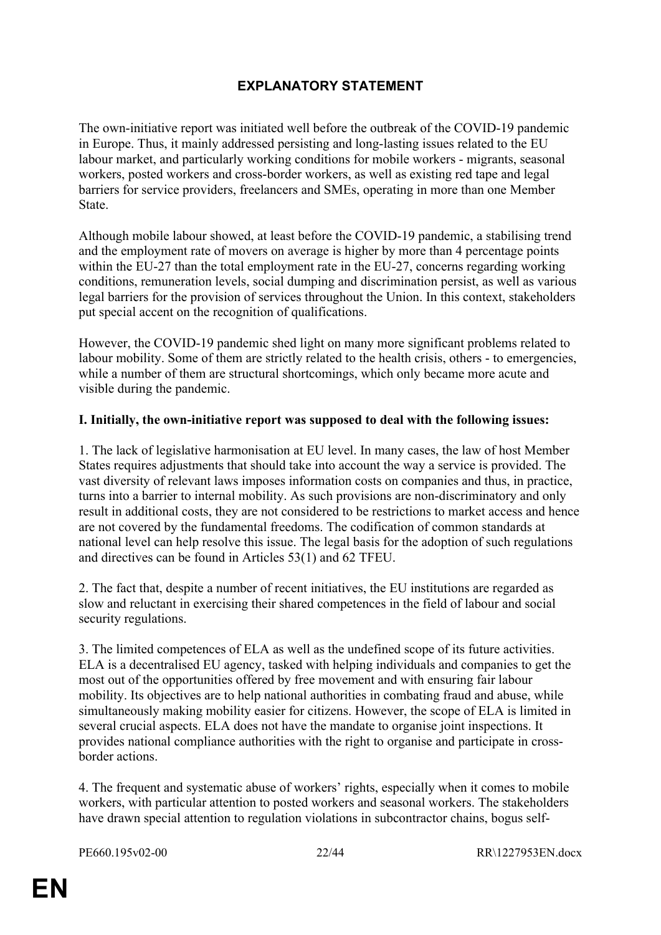# <span id="page-21-0"></span>**EXPLANATORY STATEMENT**

The own-initiative report was initiated well before the outbreak of the COVID-19 pandemic in Europe. Thus, it mainly addressed persisting and long-lasting issues related to the EU labour market, and particularly working conditions for mobile workers - migrants, seasonal workers, posted workers and cross-border workers, as well as existing red tape and legal barriers for service providers, freelancers and SMEs, operating in more than one Member State.

Although mobile labour showed, at least before the COVID-19 pandemic, a stabilising trend and the employment rate of movers on average is higher by more than 4 percentage points within the EU-27 than the total employment rate in the EU-27, concerns regarding working conditions, remuneration levels, social dumping and discrimination persist, as well as various legal barriers for the provision of services throughout the Union. In this context, stakeholders put special accent on the recognition of qualifications.

However, the COVID-19 pandemic shed light on many more significant problems related to labour mobility. Some of them are strictly related to the health crisis, others - to emergencies, while a number of them are structural shortcomings, which only became more acute and visible during the pandemic.

### **I. Initially, the own-initiative report was supposed to deal with the following issues:**

1. The lack of legislative harmonisation at EU level. In many cases, the law of host Member States requires adjustments that should take into account the way a service is provided. The vast diversity of relevant laws imposes information costs on companies and thus, in practice, turns into a barrier to internal mobility. As such provisions are non-discriminatory and only result in additional costs, they are not considered to be restrictions to market access and hence are not covered by the fundamental freedoms. The codification of common standards at national level can help resolve this issue. The legal basis for the adoption of such regulations and directives can be found in Articles 53(1) and 62 TFEU.

2. The fact that, despite a number of recent initiatives, the EU institutions are regarded as slow and reluctant in exercising their shared competences in the field of labour and social security regulations.

3. The limited competences of ELA as well as the undefined scope of its future activities. ELA is a decentralised EU agency, tasked with helping individuals and companies to get the most out of the opportunities offered by free movement and with ensuring fair labour mobility. Its objectives are to help national authorities in combating fraud and abuse, while simultaneously making mobility easier for citizens. However, the scope of ELA is limited in several crucial aspects. ELA does not have the mandate to organise joint inspections. It provides national compliance authorities with the right to organise and participate in crossborder actions.

4. The frequent and systematic abuse of workers' rights, especially when it comes to mobile workers, with particular attention to posted workers and seasonal workers. The stakeholders have drawn special attention to regulation violations in subcontractor chains, bogus self-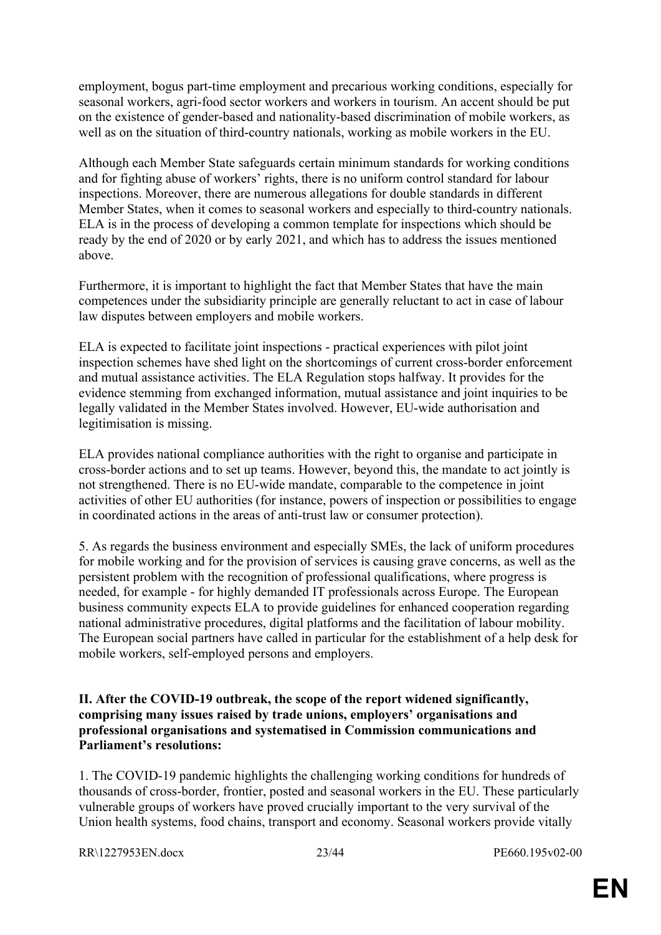employment, bogus part-time employment and precarious working conditions, especially for seasonal workers, agri-food sector workers and workers in tourism. An accent should be put on the existence of gender-based and nationality-based discrimination of mobile workers, as well as on the situation of third-country nationals, working as mobile workers in the EU.

Although each Member State safeguards certain minimum standards for working conditions and for fighting abuse of workers' rights, there is no uniform control standard for labour inspections. Moreover, there are numerous allegations for double standards in different Member States, when it comes to seasonal workers and especially to third-country nationals. ELA is in the process of developing a common template for inspections which should be ready by the end of 2020 or by early 2021, and which has to address the issues mentioned above.

Furthermore, it is important to highlight the fact that Member States that have the main competences under the subsidiarity principle are generally reluctant to act in case of labour law disputes between employers and mobile workers.

ELA is expected to facilitate joint inspections - practical experiences with pilot joint inspection schemes have shed light on the shortcomings of current cross-border enforcement and mutual assistance activities. The ELA Regulation stops halfway. It provides for the evidence stemming from exchanged information, mutual assistance and joint inquiries to be legally validated in the Member States involved. However, EU-wide authorisation and legitimisation is missing.

ELA provides national compliance authorities with the right to organise and participate in cross-border actions and to set up teams. However, beyond this, the mandate to act jointly is not strengthened. There is no EU-wide mandate, comparable to the competence in joint activities of other EU authorities (for instance, powers of inspection or possibilities to engage in coordinated actions in the areas of anti-trust law or consumer protection).

5. As regards the business environment and especially SMEs, the lack of uniform procedures for mobile working and for the provision of services is causing grave concerns, as well as the persistent problem with the recognition of professional qualifications, where progress is needed, for example - for highly demanded IT professionals across Europe. The European business community expects ELA to provide guidelines for enhanced cooperation regarding national administrative procedures, digital platforms and the facilitation of labour mobility. The European social partners have called in particular for the establishment of a help desk for mobile workers, self-employed persons and employers.

**II. After the COVID-19 outbreak, the scope of the report widened significantly, comprising many issues raised by trade unions, employers' organisations and professional organisations and systematised in Commission communications and Parliament's resolutions:**

1. The COVID-19 pandemic highlights the challenging working conditions for hundreds of thousands of cross-border, frontier, posted and seasonal workers in the EU. These particularly vulnerable groups of workers have proved crucially important to the very survival of the Union health systems, food chains, transport and economy. Seasonal workers provide vitally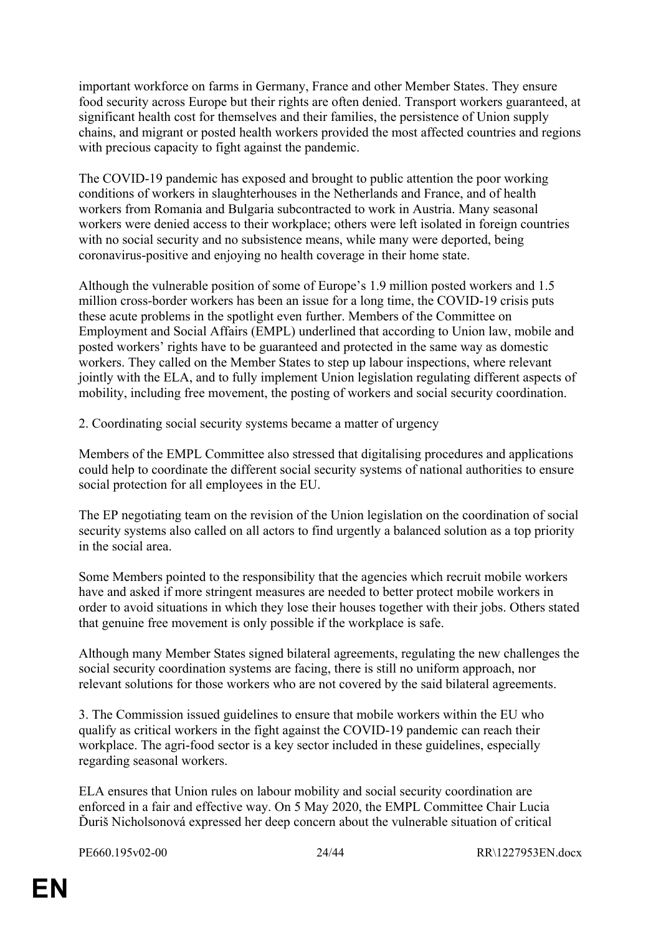important workforce on farms in Germany, France and other Member States. They ensure food security across Europe but their rights are often denied. Transport workers guaranteed, at significant health cost for themselves and their families, the persistence of Union supply chains, and migrant or posted health workers provided the most affected countries and regions with precious capacity to fight against the pandemic.

The COVID-19 pandemic has exposed and brought to public attention the poor working conditions of workers in slaughterhouses in the Netherlands and France, and of health workers from Romania and Bulgaria subcontracted to work in Austria. Many seasonal workers were denied access to their workplace; others were left isolated in foreign countries with no social security and no subsistence means, while many were deported, being coronavirus-positive and enjoying no health coverage in their home state.

Although the vulnerable position of some of Europe's 1.9 million posted workers and 1.5 million cross-border workers has been an issue for a long time, the COVID-19 crisis puts these acute problems in the spotlight even further. Members of the Committee on Employment and Social Affairs (EMPL) underlined that according to Union law, mobile and posted workers' rights have to be guaranteed and protected in the same way as domestic workers. They called on the Member States to step up labour inspections, where relevant jointly with the ELA, and to fully implement Union legislation regulating different aspects of mobility, including free movement, the posting of workers and social security coordination.

2. Coordinating social security systems became a matter of urgency

Members of the EMPL Committee also stressed that digitalising procedures and applications could help to coordinate the different social security systems of national authorities to ensure social protection for all employees in the EU.

The EP negotiating team on the revision of the Union legislation on the coordination of social security systems also called on all actors to find urgently a balanced solution as a top priority in the social area.

Some Members pointed to the responsibility that the agencies which recruit mobile workers have and asked if more stringent measures are needed to better protect mobile workers in order to avoid situations in which they lose their houses together with their jobs. Others stated that genuine free movement is only possible if the workplace is safe.

Although many Member States signed bilateral agreements, regulating the new challenges the social security coordination systems are facing, there is still no uniform approach, nor relevant solutions for those workers who are not covered by the said bilateral agreements.

3. The Commission issued guidelines to ensure that mobile workers within the EU who qualify as critical workers in the fight against the COVID-19 pandemic can reach their workplace. The agri-food sector is a key sector included in these guidelines, especially regarding seasonal workers.

ELA ensures that Union rules on labour mobility and social security coordination are enforced in a fair and effective way. On 5 May 2020, the EMPL Committee Chair Lucia Ďuriš Nicholsonová expressed her deep concern about the vulnerable situation of critical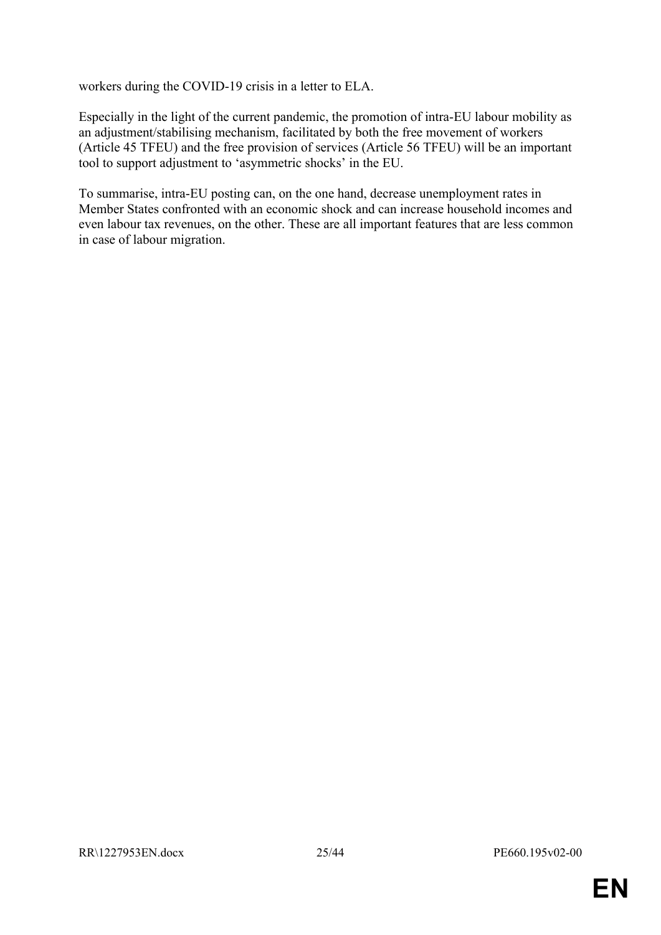workers during the COVID-19 crisis in a letter to ELA.

Especially in the light of the current pandemic, the promotion of intra-EU labour mobility as an adjustment/stabilising mechanism, facilitated by both the free movement of workers (Article 45 TFEU) and the free provision of services (Article 56 TFEU) will be an important tool to support adjustment to 'asymmetric shocks' in the EU.

To summarise, intra-EU posting can, on the one hand, decrease unemployment rates in Member States confronted with an economic shock and can increase household incomes and even labour tax revenues, on the other. These are all important features that are less common in case of labour migration.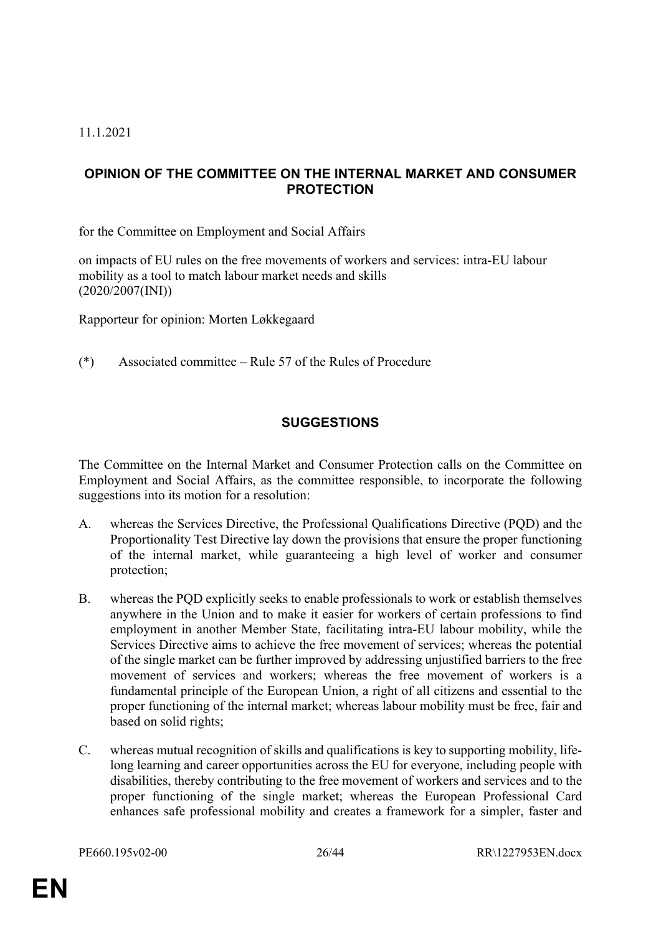#### 11.1.2021

## <span id="page-25-0"></span>**OPINION OF THE COMMITTEE ON THE INTERNAL MARKET AND CONSUMER PROTECTION**

for the Committee on Employment and Social Affairs

on impacts of EU rules on the free movements of workers and services: intra-EU labour mobility as a tool to match labour market needs and skills (2020/2007(INI))

Rapporteur for opinion: Morten Løkkegaard

(\*) Associated committee – Rule 57 of the Rules of Procedure

## **SUGGESTIONS**

The Committee on the Internal Market and Consumer Protection calls on the Committee on Employment and Social Affairs, as the committee responsible, to incorporate the following suggestions into its motion for a resolution:

- A. whereas the Services Directive, the Professional Qualifications Directive (PQD) and the Proportionality Test Directive lay down the provisions that ensure the proper functioning of the internal market, while guaranteeing a high level of worker and consumer protection;
- B. whereas the PQD explicitly seeks to enable professionals to work or establish themselves anywhere in the Union and to make it easier for workers of certain professions to find employment in another Member State, facilitating intra-EU labour mobility, while the Services Directive aims to achieve the free movement of services; whereas the potential of the single market can be further improved by addressing unjustified barriers to the free movement of services and workers; whereas the free movement of workers is a fundamental principle of the European Union, a right of all citizens and essential to the proper functioning of the internal market; whereas labour mobility must be free, fair and based on solid rights;
- C. whereas mutual recognition of skills and qualifications is key to supporting mobility, lifelong learning and career opportunities across the EU for everyone, including people with disabilities, thereby contributing to the free movement of workers and services and to the proper functioning of the single market; whereas the European Professional Card enhances safe professional mobility and creates a framework for a simpler, faster and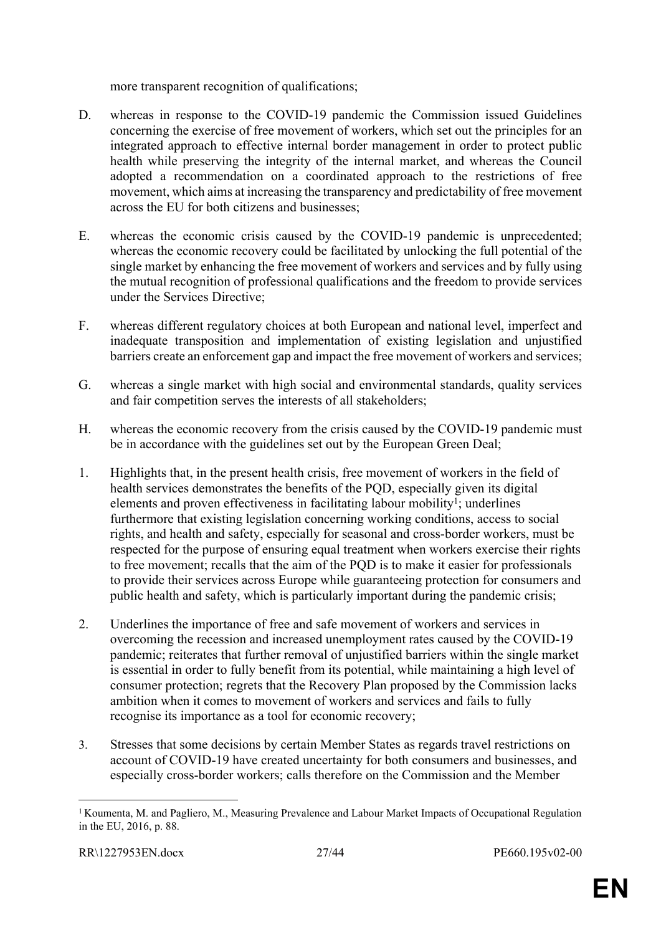more transparent recognition of qualifications;

- D. whereas in response to the COVID-19 pandemic the Commission issued Guidelines concerning the exercise of free movement of workers, which set out the principles for an integrated approach to effective internal border management in order to protect public health while preserving the integrity of the internal market, and whereas the Council adopted a recommendation on a coordinated approach to the restrictions of free movement, which aims at increasing the transparency and predictability of free movement across the EU for both citizens and businesses;
- E. whereas the economic crisis caused by the COVID-19 pandemic is unprecedented; whereas the economic recovery could be facilitated by unlocking the full potential of the single market by enhancing the free movement of workers and services and by fully using the mutual recognition of professional qualifications and the freedom to provide services under the Services Directive;
- F. whereas different regulatory choices at both European and national level, imperfect and inadequate transposition and implementation of existing legislation and unjustified barriers create an enforcement gap and impact the free movement of workers and services;
- G. whereas a single market with high social and environmental standards, quality services and fair competition serves the interests of all stakeholders;
- H. whereas the economic recovery from the crisis caused by the COVID-19 pandemic must be in accordance with the guidelines set out by the European Green Deal;
- 1. Highlights that, in the present health crisis, free movement of workers in the field of health services demonstrates the benefits of the PQD, especially given its digital elements and proven effectiveness in facilitating labour mobility<sup>1</sup>; underlines furthermore that existing legislation concerning working conditions, access to social rights, and health and safety, especially for seasonal and cross-border workers, must be respected for the purpose of ensuring equal treatment when workers exercise their rights to free movement; recalls that the aim of the PQD is to make it easier for professionals to provide their services across Europe while guaranteeing protection for consumers and public health and safety, which is particularly important during the pandemic crisis;
- 2. Underlines the importance of free and safe movement of workers and services in overcoming the recession and increased unemployment rates caused by the COVID-19 pandemic; reiterates that further removal of unjustified barriers within the single market is essential in order to fully benefit from its potential, while maintaining a high level of consumer protection; regrets that the Recovery Plan proposed by the Commission lacks ambition when it comes to movement of workers and services and fails to fully recognise its importance as a tool for economic recovery;
- 3. Stresses that some decisions by certain Member States as regards travel restrictions on account of COVID-19 have created uncertainty for both consumers and businesses, and especially cross-border workers; calls therefore on the Commission and the Member

<sup>&</sup>lt;sup>1</sup> Koumenta, M. and Pagliero, M., Measuring Prevalence and Labour Market Impacts of Occupational Regulation in the EU, 2016, p. 88.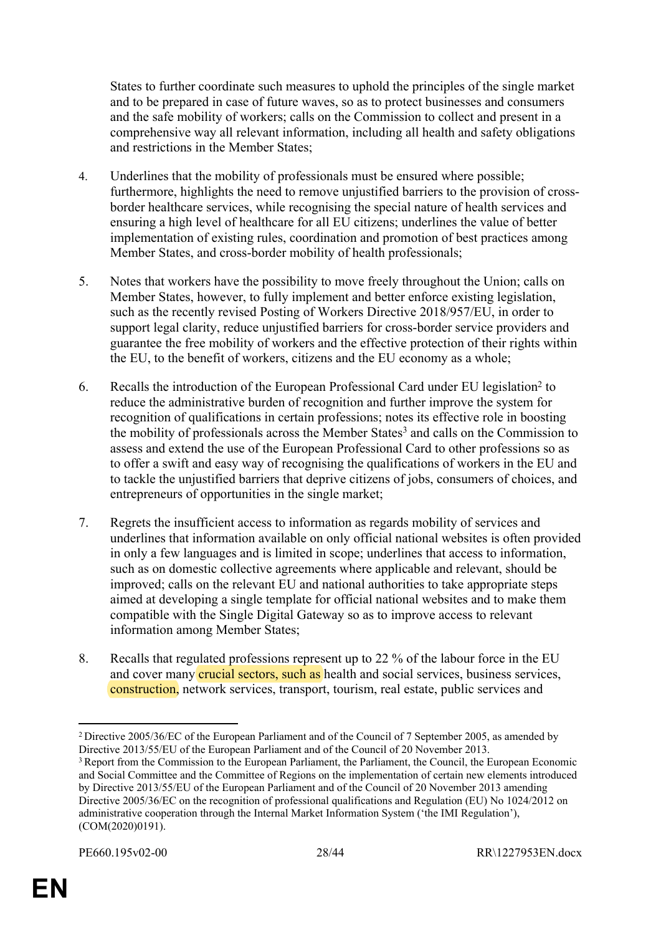States to further coordinate such measures to uphold the principles of the single market and to be prepared in case of future waves, so as to protect businesses and consumers and the safe mobility of workers; calls on the Commission to collect and present in a comprehensive way all relevant information, including all health and safety obligations and restrictions in the Member States;

- 4. Underlines that the mobility of professionals must be ensured where possible; furthermore, highlights the need to remove unjustified barriers to the provision of crossborder healthcare services, while recognising the special nature of health services and ensuring a high level of healthcare for all EU citizens; underlines the value of better implementation of existing rules, coordination and promotion of best practices among Member States, and cross-border mobility of health professionals;
- 5. Notes that workers have the possibility to move freely throughout the Union; calls on Member States, however, to fully implement and better enforce existing legislation, such as the recently revised Posting of Workers Directive 2018/957/EU, in order to support legal clarity, reduce unjustified barriers for cross-border service providers and guarantee the free mobility of workers and the effective protection of their rights within the EU, to the benefit of workers, citizens and the EU economy as a whole;
- 6. Recalls the introduction of the European Professional Card under EU legislation<sup>2</sup> to reduce the administrative burden of recognition and further improve the system for recognition of qualifications in certain professions; notes its effective role in boosting the mobility of professionals across the Member States<sup>3</sup> and calls on the Commission to assess and extend the use of the European Professional Card to other professions so as to offer a swift and easy way of recognising the qualifications of workers in the EU and to tackle the unjustified barriers that deprive citizens of jobs, consumers of choices, and entrepreneurs of opportunities in the single market;
- 7. Regrets the insufficient access to information as regards mobility of services and underlines that information available on only official national websites is often provided in only a few languages and is limited in scope; underlines that access to information, such as on domestic collective agreements where applicable and relevant, should be improved; calls on the relevant EU and national authorities to take appropriate steps aimed at developing a single template for official national websites and to make them compatible with the Single Digital Gateway so as to improve access to relevant information among Member States;
- 8. Recalls that regulated professions represent up to 22 % of the labour force in the EU and cover many **crucial sectors, such as** health and social services, business services, construction, network services, transport, tourism, real estate, public services and

<sup>2</sup>Directive 2005/36/EC of the European Parliament and of the Council of 7 September 2005, as amended by Directive 2013/55/EU of the European Parliament and of the Council of 20 November 2013.

<sup>&</sup>lt;sup>3</sup> Report from the Commission to the European Parliament, the Parliament, the Council, the European Economic and Social Committee and the Committee of Regions on the implementation of certain new elements introduced by Directive 2013/55/EU of the European Parliament and of the Council of 20 November 2013 amending Directive 2005/36/EC on the recognition of professional qualifications and Regulation (EU) No 1024/2012 on administrative cooperation through the Internal Market Information System ('the IMI Regulation'), (COM(2020)0191).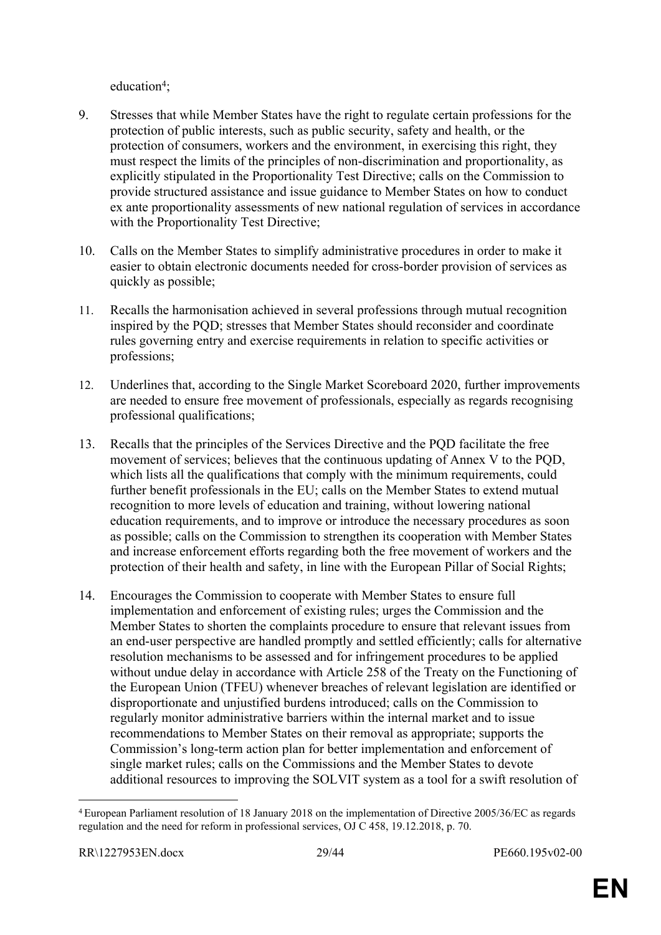education<sup>4</sup>;

- 9. Stresses that while Member States have the right to regulate certain professions for the protection of public interests, such as public security, safety and health, or the protection of consumers, workers and the environment, in exercising this right, they must respect the limits of the principles of non-discrimination and proportionality, as explicitly stipulated in the Proportionality Test Directive; calls on the Commission to provide structured assistance and issue guidance to Member States on how to conduct ex ante proportionality assessments of new national regulation of services in accordance with the Proportionality Test Directive;
- 10. Calls on the Member States to simplify administrative procedures in order to make it easier to obtain electronic documents needed for cross-border provision of services as quickly as possible;
- 11. Recalls the harmonisation achieved in several professions through mutual recognition inspired by the PQD; stresses that Member States should reconsider and coordinate rules governing entry and exercise requirements in relation to specific activities or professions;
- 12. Underlines that, according to the Single Market Scoreboard 2020, further improvements are needed to ensure free movement of professionals, especially as regards recognising professional qualifications;
- 13. Recalls that the principles of the Services Directive and the PQD facilitate the free movement of services; believes that the continuous updating of Annex V to the PQD, which lists all the qualifications that comply with the minimum requirements, could further benefit professionals in the EU; calls on the Member States to extend mutual recognition to more levels of education and training, without lowering national education requirements, and to improve or introduce the necessary procedures as soon as possible; calls on the Commission to strengthen its cooperation with Member States and increase enforcement efforts regarding both the free movement of workers and the protection of their health and safety, in line with the European Pillar of Social Rights;
- 14. Encourages the Commission to cooperate with Member States to ensure full implementation and enforcement of existing rules; urges the Commission and the Member States to shorten the complaints procedure to ensure that relevant issues from an end-user perspective are handled promptly and settled efficiently; calls for alternative resolution mechanisms to be assessed and for infringement procedures to be applied without undue delay in accordance with Article 258 of the Treaty on the Functioning of the European Union (TFEU) whenever breaches of relevant legislation are identified or disproportionate and unjustified burdens introduced; calls on the Commission to regularly monitor administrative barriers within the internal market and to issue recommendations to Member States on their removal as appropriate; supports the Commission's long-term action plan for better implementation and enforcement of single market rules; calls on the Commissions and the Member States to devote additional resources to improving the SOLVIT system as a tool for a swift resolution of

<sup>4</sup>European Parliament resolution of 18 January 2018 on the implementation of Directive 2005/36/EC as regards regulation and the need for reform in professional services, OJ C 458, 19.12.2018, p. 70.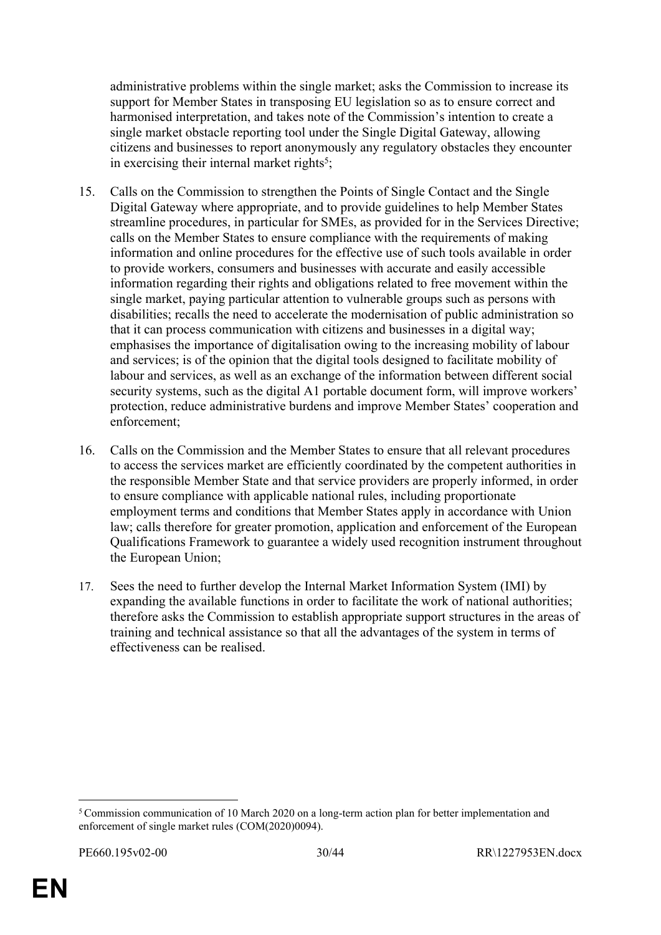administrative problems within the single market; asks the Commission to increase its support for Member States in transposing EU legislation so as to ensure correct and harmonised interpretation, and takes note of the Commission's intention to create a single market obstacle reporting tool under the Single Digital Gateway, allowing citizens and businesses to report anonymously any regulatory obstacles they encounter in exercising their internal market rights<sup>5</sup>;

- 15. Calls on the Commission to strengthen the Points of Single Contact and the Single Digital Gateway where appropriate, and to provide guidelines to help Member States streamline procedures, in particular for SMEs, as provided for in the Services Directive; calls on the Member States to ensure compliance with the requirements of making information and online procedures for the effective use of such tools available in order to provide workers, consumers and businesses with accurate and easily accessible information regarding their rights and obligations related to free movement within the single market, paying particular attention to vulnerable groups such as persons with disabilities; recalls the need to accelerate the modernisation of public administration so that it can process communication with citizens and businesses in a digital way; emphasises the importance of digitalisation owing to the increasing mobility of labour and services; is of the opinion that the digital tools designed to facilitate mobility of labour and services, as well as an exchange of the information between different social security systems, such as the digital A1 portable document form, will improve workers' protection, reduce administrative burdens and improve Member States' cooperation and enforcement;
- 16. Calls on the Commission and the Member States to ensure that all relevant procedures to access the services market are efficiently coordinated by the competent authorities in the responsible Member State and that service providers are properly informed, in order to ensure compliance with applicable national rules, including proportionate employment terms and conditions that Member States apply in accordance with Union law; calls therefore for greater promotion, application and enforcement of the European Qualifications Framework to guarantee a widely used recognition instrument throughout the European Union;
- 17. Sees the need to further develop the Internal Market Information System (IMI) by expanding the available functions in order to facilitate the work of national authorities; therefore asks the Commission to establish appropriate support structures in the areas of training and technical assistance so that all the advantages of the system in terms of effectiveness can be realised.

<sup>&</sup>lt;sup>5</sup> Commission communication of 10 March 2020 on a long-term action plan for better implementation and enforcement of single market rules (COM(2020)0094).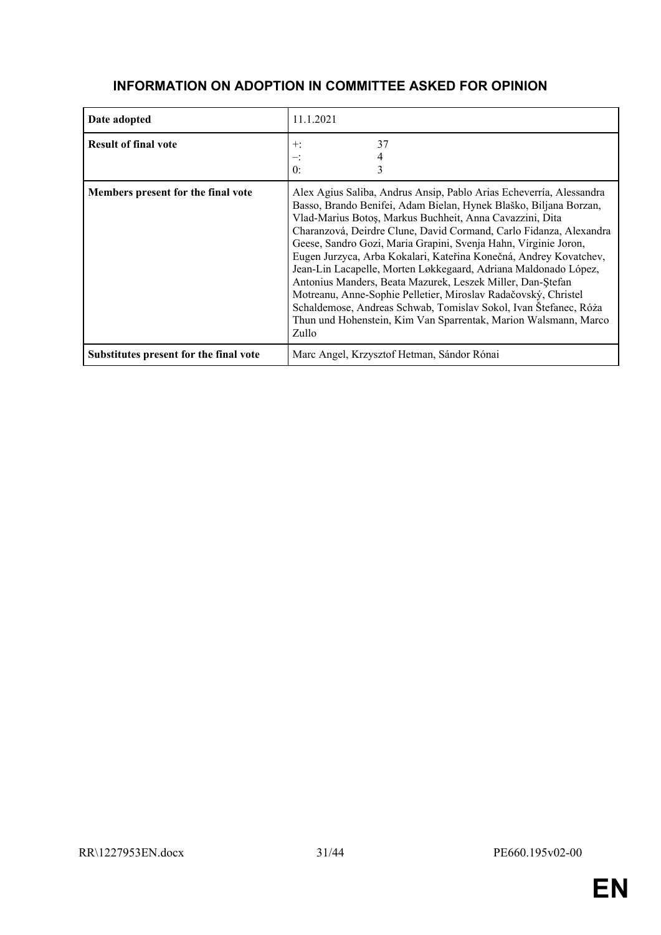| Date adopted                           | 11.1.2021                                                                                                                                                                                                                                                                                                                                                                                                                                                                                                                                                                                                                                                                                                                                                             |
|----------------------------------------|-----------------------------------------------------------------------------------------------------------------------------------------------------------------------------------------------------------------------------------------------------------------------------------------------------------------------------------------------------------------------------------------------------------------------------------------------------------------------------------------------------------------------------------------------------------------------------------------------------------------------------------------------------------------------------------------------------------------------------------------------------------------------|
| <b>Result of final vote</b>            | 37<br>$+:$<br>0:                                                                                                                                                                                                                                                                                                                                                                                                                                                                                                                                                                                                                                                                                                                                                      |
| Members present for the final vote     | Alex Agius Saliba, Andrus Ansip, Pablo Arias Echeverría, Alessandra<br>Basso, Brando Benifei, Adam Bielan, Hynek Blaško, Biljana Borzan,<br>Vlad-Marius Botoș, Markus Buchheit, Anna Cavazzini, Dita<br>Charanzová, Deirdre Clune, David Cormand, Carlo Fidanza, Alexandra<br>Geese, Sandro Gozi, Maria Grapini, Svenja Hahn, Virginie Joron,<br>Eugen Jurzyca, Arba Kokalari, Kateřina Konečná, Andrey Kovatchev,<br>Jean-Lin Lacapelle, Morten Løkkegaard, Adriana Maldonado López,<br>Antonius Manders, Beata Mazurek, Leszek Miller, Dan-Ștefan<br>Motreanu, Anne-Sophie Pelletier, Miroslav Radačovský, Christel<br>Schaldemose, Andreas Schwab, Tomislav Sokol, Ivan Štefanec, Róża<br>Thun und Hohenstein, Kim Van Sparrentak, Marion Walsmann, Marco<br>Zullo |
| Substitutes present for the final vote | Marc Angel, Krzysztof Hetman, Sándor Rónai                                                                                                                                                                                                                                                                                                                                                                                                                                                                                                                                                                                                                                                                                                                            |

## **INFORMATION ON ADOPTION IN COMMITTEE ASKED FOR OPINION**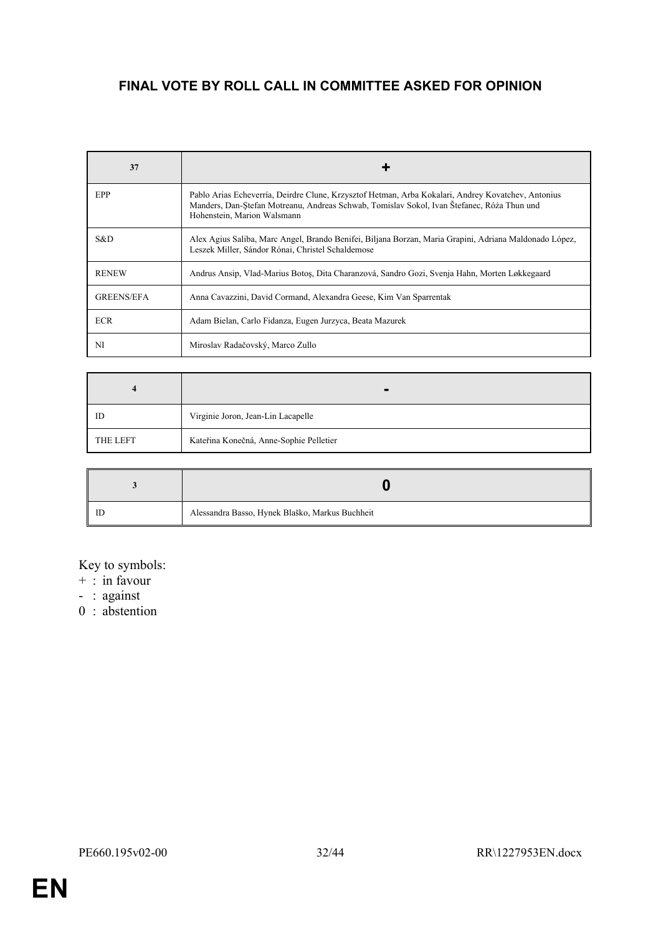# **FINAL VOTE BY ROLL CALL IN COMMITTEE ASKED FOR OPINION**

| 37                |                                                                                                                                                                                                                                 |
|-------------------|---------------------------------------------------------------------------------------------------------------------------------------------------------------------------------------------------------------------------------|
| EPP               | Pablo Arias Echeverría, Deirdre Clune, Krzysztof Hetman, Arba Kokalari, Andrey Kovatchev, Antonius<br>Manders, Dan-Stefan Motreanu, Andreas Schwab, Tomislav Sokol, Ivan Štefanec, Róża Thun und<br>Hohenstein, Marion Walsmann |
| S&D.              | Alex Agius Saliba, Marc Angel, Brando Benifei, Biljana Borzan, Maria Grapini, Adriana Maldonado López,<br>Leszek Miller, Sándor Rónai, Christel Schaldemose                                                                     |
| <b>RENEW</b>      | Andrus Ansip, Vlad-Marius Botos, Dita Charanzová, Sandro Gozi, Svenja Hahn, Morten Løkkegaard                                                                                                                                   |
| <b>GREENS/EFA</b> | Anna Cavazzini, David Cormand, Alexandra Geese, Kim Van Sparrentak                                                                                                                                                              |
| <b>ECR</b>        | Adam Bielan, Carlo Fidanza, Eugen Jurzyca, Beata Mazurek                                                                                                                                                                        |
| NI                | Miroslav Radačovský, Marco Zullo                                                                                                                                                                                                |

| $\Delta$        | $\blacksquare$                          |
|-----------------|-----------------------------------------|
| ID              | Virginie Joron, Jean-Lin Lacapelle      |
| <b>THE LEFT</b> | Kateřina Konečná, Anne-Sophie Pelletier |

| Alessandra Basso, Hynek Blaško, Markus Buchheit |
|-------------------------------------------------|

#### Key to symbols:

- + : in favour
- : against
- 0 : abstention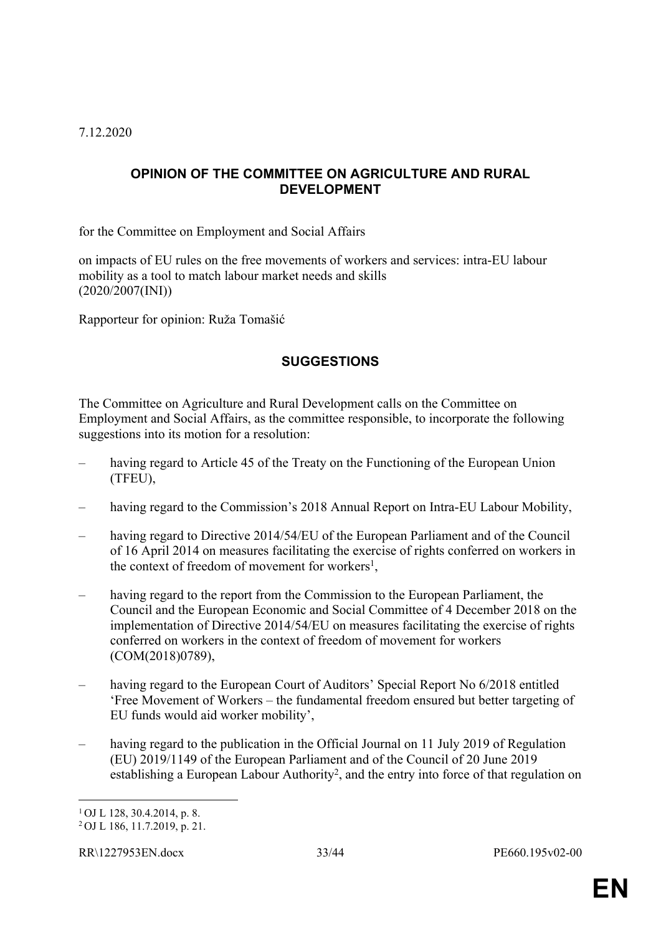7.12.2020

## <span id="page-32-0"></span>**OPINION OF THE COMMITTEE ON AGRICULTURE AND RURAL DEVELOPMENT**

for the Committee on Employment and Social Affairs

on impacts of EU rules on the free movements of workers and services: intra-EU labour mobility as a tool to match labour market needs and skills (2020/2007(INI))

Rapporteur for opinion: Ruža Tomašić

## **SUGGESTIONS**

The Committee on Agriculture and Rural Development calls on the Committee on Employment and Social Affairs, as the committee responsible, to incorporate the following suggestions into its motion for a resolution:

- having regard to Article 45 of the Treaty on the Functioning of the European Union (TFEU),
- having regard to the Commission's 2018 Annual Report on Intra-EU Labour Mobility,
- having regard to Directive 2014/54/EU of the European Parliament and of the Council of 16 April 2014 on measures facilitating the exercise of rights conferred on workers in the context of freedom of movement for workers<sup>1</sup>,
- having regard to the report from the Commission to the European Parliament, the Council and the European Economic and Social Committee of 4 December 2018 on the implementation of Directive 2014/54/EU on measures facilitating the exercise of rights conferred on workers in the context of freedom of movement for workers (COM(2018)0789),
- having regard to the European Court of Auditors' Special Report No 6/2018 entitled 'Free Movement of Workers – the fundamental freedom ensured but better targeting of EU funds would aid worker mobility',
- having regard to the publication in the Official Journal on 11 July 2019 of Regulation (EU) 2019/1149 of the European Parliament and of the Council of 20 June 2019 establishing a European Labour Authority<sup>2</sup>, and the entry into force of that regulation on

<sup>1</sup>OJ L 128, 30.4.2014, p. 8.

<sup>2</sup> OJ L 186, 11.7.2019, p. 21.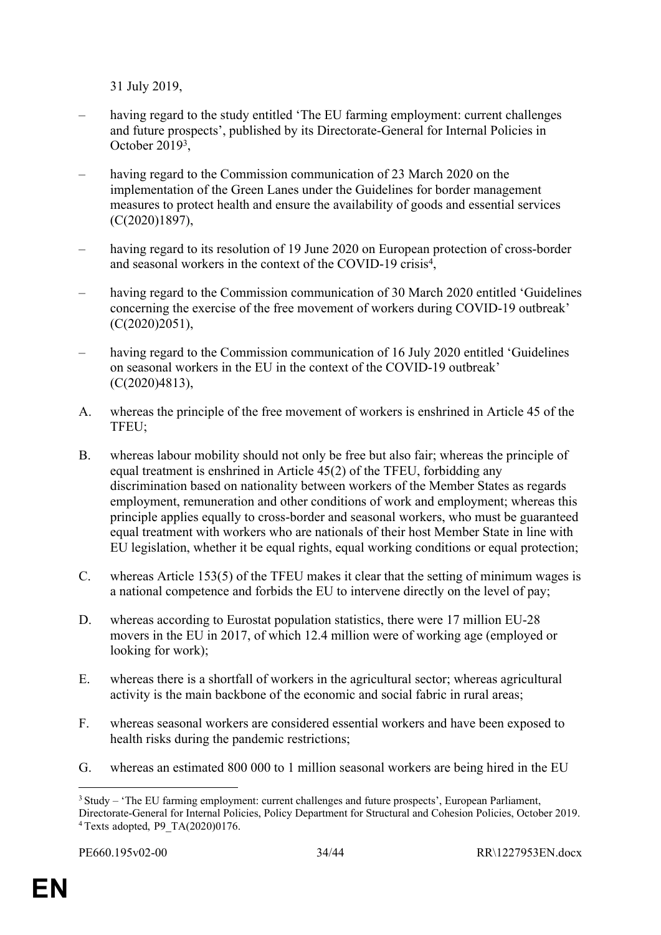31 July 2019,

- having regard to the study entitled 'The EU farming employment: current challenges and future prospects', published by its Directorate-General for Internal Policies in October 2019<sup>3</sup> ,
- having regard to the Commission communication of 23 March 2020 on the implementation of the Green Lanes under the Guidelines for border management measures to protect health and ensure the availability of goods and essential services (C(2020)1897),
- having regard to its resolution of 19 June 2020 on European protection of cross-border and seasonal workers in the context of the COVID-19 crisis<sup>4</sup>,
- having regard to the Commission communication of 30 March 2020 entitled 'Guidelines concerning the exercise of the free movement of workers during COVID-19 outbreak' (C(2020)2051),
- having regard to the Commission communication of 16 July 2020 entitled 'Guidelines' on seasonal workers in the EU in the context of the COVID-19 outbreak' (C(2020)4813),
- A. whereas the principle of the free movement of workers is enshrined in Article 45 of the TFEU;
- B. whereas labour mobility should not only be free but also fair; whereas the principle of equal treatment is enshrined in Article 45(2) of the TFEU, forbidding any discrimination based on nationality between workers of the Member States as regards employment, remuneration and other conditions of work and employment; whereas this principle applies equally to cross-border and seasonal workers, who must be guaranteed equal treatment with workers who are nationals of their host Member State in line with EU legislation, whether it be equal rights, equal working conditions or equal protection;
- C. whereas Article 153(5) of the TFEU makes it clear that the setting of minimum wages is a national competence and forbids the EU to intervene directly on the level of pay;
- D. whereas according to Eurostat population statistics, there were 17 million EU-28 movers in the EU in 2017, of which 12.4 million were of working age (employed or looking for work);
- E. whereas there is a shortfall of workers in the agricultural sector; whereas agricultural activity is the main backbone of the economic and social fabric in rural areas;
- F. whereas seasonal workers are considered essential workers and have been exposed to health risks during the pandemic restrictions;
- G. whereas an estimated 800 000 to 1 million seasonal workers are being hired in the EU

<sup>3</sup>Study – 'The EU farming employment: current challenges and future prospects', European Parliament, Directorate-General for Internal Policies, Policy Department for Structural and Cohesion Policies, October 2019. 4 Texts adopted, P9\_TA(2020)0176.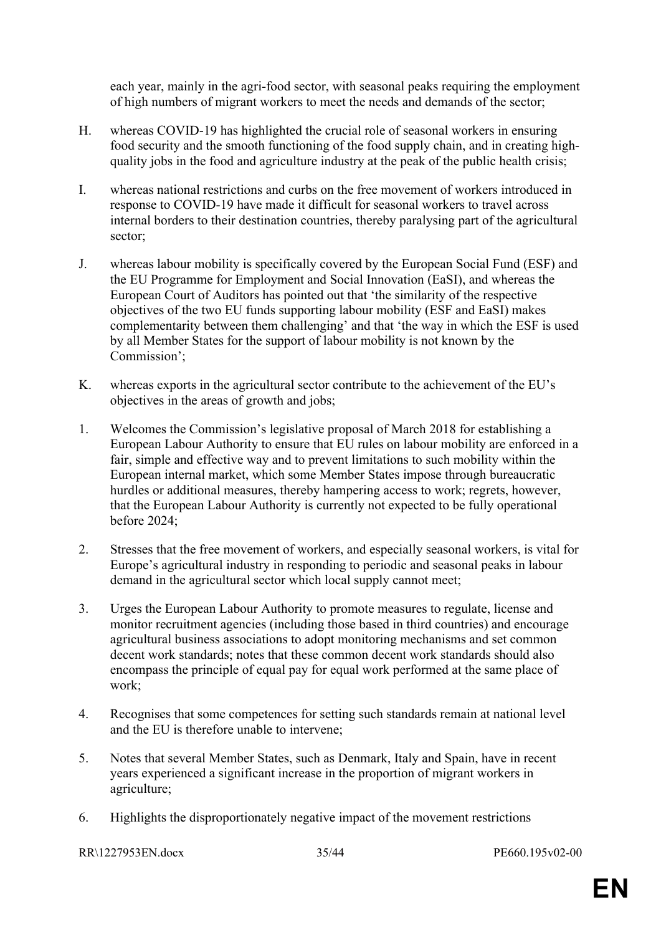each year, mainly in the agri-food sector, with seasonal peaks requiring the employment of high numbers of migrant workers to meet the needs and demands of the sector;

- H. whereas COVID-19 has highlighted the crucial role of seasonal workers in ensuring food security and the smooth functioning of the food supply chain, and in creating highquality jobs in the food and agriculture industry at the peak of the public health crisis;
- I. whereas national restrictions and curbs on the free movement of workers introduced in response to COVID-19 have made it difficult for seasonal workers to travel across internal borders to their destination countries, thereby paralysing part of the agricultural sector;
- J. whereas labour mobility is specifically covered by the European Social Fund (ESF) and the EU Programme for Employment and Social Innovation (EaSI), and whereas the European Court of Auditors has pointed out that 'the similarity of the respective objectives of the two EU funds supporting labour mobility (ESF and EaSI) makes complementarity between them challenging' and that 'the way in which the ESF is used by all Member States for the support of labour mobility is not known by the Commission';
- K. whereas exports in the agricultural sector contribute to the achievement of the EU's objectives in the areas of growth and jobs;
- 1. Welcomes the Commission's legislative proposal of March 2018 for establishing a European Labour Authority to ensure that EU rules on labour mobility are enforced in a fair, simple and effective way and to prevent limitations to such mobility within the European internal market, which some Member States impose through bureaucratic hurdles or additional measures, thereby hampering access to work; regrets, however, that the European Labour Authority is currently not expected to be fully operational before 2024;
- 2. Stresses that the free movement of workers, and especially seasonal workers, is vital for Europe's agricultural industry in responding to periodic and seasonal peaks in labour demand in the agricultural sector which local supply cannot meet;
- 3. Urges the European Labour Authority to promote measures to regulate, license and monitor recruitment agencies (including those based in third countries) and encourage agricultural business associations to adopt monitoring mechanisms and set common decent work standards; notes that these common decent work standards should also encompass the principle of equal pay for equal work performed at the same place of work;
- 4. Recognises that some competences for setting such standards remain at national level and the EU is therefore unable to intervene;
- 5. Notes that several Member States, such as Denmark, Italy and Spain, have in recent years experienced a significant increase in the proportion of migrant workers in agriculture;
- 6. Highlights the disproportionately negative impact of the movement restrictions

RR\1227953EN.docx 35/44 PE660.195v02-00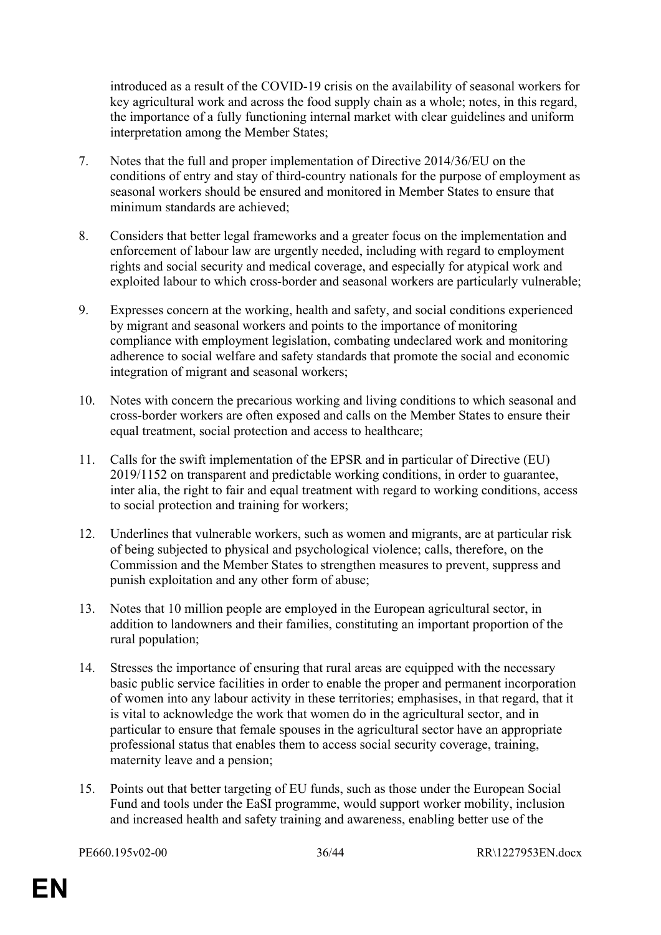introduced as a result of the COVID-19 crisis on the availability of seasonal workers for key agricultural work and across the food supply chain as a whole; notes, in this regard, the importance of a fully functioning internal market with clear guidelines and uniform interpretation among the Member States;

- 7. Notes that the full and proper implementation of Directive 2014/36/EU on the conditions of entry and stay of third-country nationals for the purpose of employment as seasonal workers should be ensured and monitored in Member States to ensure that minimum standards are achieved;
- 8. Considers that better legal frameworks and a greater focus on the implementation and enforcement of labour law are urgently needed, including with regard to employment rights and social security and medical coverage, and especially for atypical work and exploited labour to which cross-border and seasonal workers are particularly vulnerable;
- 9. Expresses concern at the working, health and safety, and social conditions experienced by migrant and seasonal workers and points to the importance of monitoring compliance with employment legislation, combating undeclared work and monitoring adherence to social welfare and safety standards that promote the social and economic integration of migrant and seasonal workers;
- 10. Notes with concern the precarious working and living conditions to which seasonal and cross-border workers are often exposed and calls on the Member States to ensure their equal treatment, social protection and access to healthcare;
- 11. Calls for the swift implementation of the EPSR and in particular of Directive (EU) 2019/1152 on transparent and predictable working conditions, in order to guarantee, inter alia, the right to fair and equal treatment with regard to working conditions, access to social protection and training for workers;
- 12. Underlines that vulnerable workers, such as women and migrants, are at particular risk of being subjected to physical and psychological violence; calls, therefore, on the Commission and the Member States to strengthen measures to prevent, suppress and punish exploitation and any other form of abuse;
- 13. Notes that 10 million people are employed in the European agricultural sector, in addition to landowners and their families, constituting an important proportion of the rural population;
- 14. Stresses the importance of ensuring that rural areas are equipped with the necessary basic public service facilities in order to enable the proper and permanent incorporation of women into any labour activity in these territories; emphasises, in that regard, that it is vital to acknowledge the work that women do in the agricultural sector, and in particular to ensure that female spouses in the agricultural sector have an appropriate professional status that enables them to access social security coverage, training, maternity leave and a pension;
- 15. Points out that better targeting of EU funds, such as those under the European Social Fund and tools under the EaSI programme, would support worker mobility, inclusion and increased health and safety training and awareness, enabling better use of the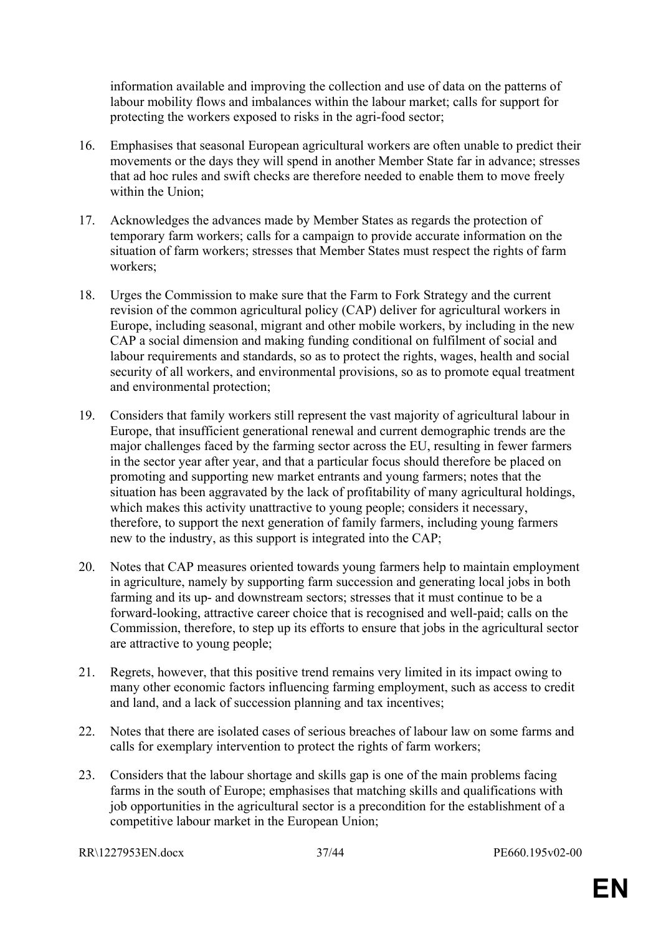information available and improving the collection and use of data on the patterns of labour mobility flows and imbalances within the labour market; calls for support for protecting the workers exposed to risks in the agri-food sector;

- 16. Emphasises that seasonal European agricultural workers are often unable to predict their movements or the days they will spend in another Member State far in advance; stresses that ad hoc rules and swift checks are therefore needed to enable them to move freely within the Union:
- 17. Acknowledges the advances made by Member States as regards the protection of temporary farm workers; calls for a campaign to provide accurate information on the situation of farm workers; stresses that Member States must respect the rights of farm workers;
- 18. Urges the Commission to make sure that the Farm to Fork Strategy and the current revision of the common agricultural policy (CAP) deliver for agricultural workers in Europe, including seasonal, migrant and other mobile workers, by including in the new CAP a social dimension and making funding conditional on fulfilment of social and labour requirements and standards, so as to protect the rights, wages, health and social security of all workers, and environmental provisions, so as to promote equal treatment and environmental protection;
- 19. Considers that family workers still represent the vast majority of agricultural labour in Europe, that insufficient generational renewal and current demographic trends are the major challenges faced by the farming sector across the EU, resulting in fewer farmers in the sector year after year, and that a particular focus should therefore be placed on promoting and supporting new market entrants and young farmers; notes that the situation has been aggravated by the lack of profitability of many agricultural holdings, which makes this activity unattractive to young people; considers it necessary, therefore, to support the next generation of family farmers, including young farmers new to the industry, as this support is integrated into the CAP;
- 20. Notes that CAP measures oriented towards young farmers help to maintain employment in agriculture, namely by supporting farm succession and generating local jobs in both farming and its up- and downstream sectors; stresses that it must continue to be a forward-looking, attractive career choice that is recognised and well-paid; calls on the Commission, therefore, to step up its efforts to ensure that jobs in the agricultural sector are attractive to young people;
- 21. Regrets, however, that this positive trend remains very limited in its impact owing to many other economic factors influencing farming employment, such as access to credit and land, and a lack of succession planning and tax incentives;
- 22. Notes that there are isolated cases of serious breaches of labour law on some farms and calls for exemplary intervention to protect the rights of farm workers;
- 23. Considers that the labour shortage and skills gap is one of the main problems facing farms in the south of Europe; emphasises that matching skills and qualifications with job opportunities in the agricultural sector is a precondition for the establishment of a competitive labour market in the European Union;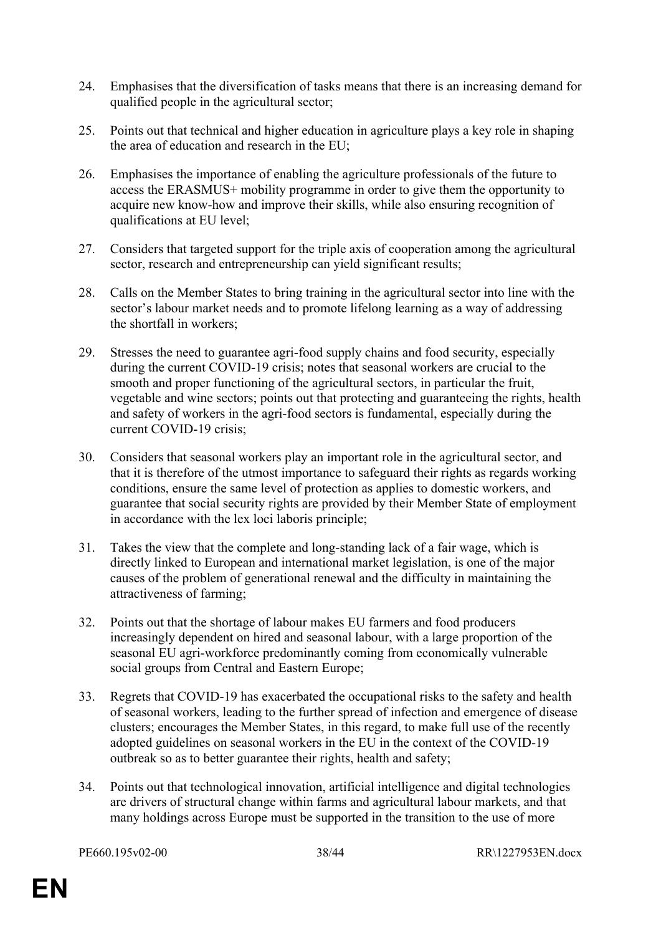- 24. Emphasises that the diversification of tasks means that there is an increasing demand for qualified people in the agricultural sector;
- 25. Points out that technical and higher education in agriculture plays a key role in shaping the area of education and research in the EU;
- 26. Emphasises the importance of enabling the agriculture professionals of the future to access the ERASMUS+ mobility programme in order to give them the opportunity to acquire new know-how and improve their skills, while also ensuring recognition of qualifications at EU level;
- 27. Considers that targeted support for the triple axis of cooperation among the agricultural sector, research and entrepreneurship can yield significant results;
- 28. Calls on the Member States to bring training in the agricultural sector into line with the sector's labour market needs and to promote lifelong learning as a way of addressing the shortfall in workers;
- 29. Stresses the need to guarantee agri-food supply chains and food security, especially during the current COVID-19 crisis; notes that seasonal workers are crucial to the smooth and proper functioning of the agricultural sectors, in particular the fruit, vegetable and wine sectors; points out that protecting and guaranteeing the rights, health and safety of workers in the agri-food sectors is fundamental, especially during the current COVID-19 crisis;
- 30. Considers that seasonal workers play an important role in the agricultural sector, and that it is therefore of the utmost importance to safeguard their rights as regards working conditions, ensure the same level of protection as applies to domestic workers, and guarantee that social security rights are provided by their Member State of employment in accordance with the lex loci laboris principle;
- 31. Takes the view that the complete and long-standing lack of a fair wage, which is directly linked to European and international market legislation, is one of the major causes of the problem of generational renewal and the difficulty in maintaining the attractiveness of farming;
- 32. Points out that the shortage of labour makes EU farmers and food producers increasingly dependent on hired and seasonal labour, with a large proportion of the seasonal EU agri-workforce predominantly coming from economically vulnerable social groups from Central and Eastern Europe;
- 33. Regrets that COVID-19 has exacerbated the occupational risks to the safety and health of seasonal workers, leading to the further spread of infection and emergence of disease clusters; encourages the Member States, in this regard, to make full use of the recently adopted guidelines on seasonal workers in the EU in the context of the COVID-19 outbreak so as to better guarantee their rights, health and safety;
- 34. Points out that technological innovation, artificial intelligence and digital technologies are drivers of structural change within farms and agricultural labour markets, and that many holdings across Europe must be supported in the transition to the use of more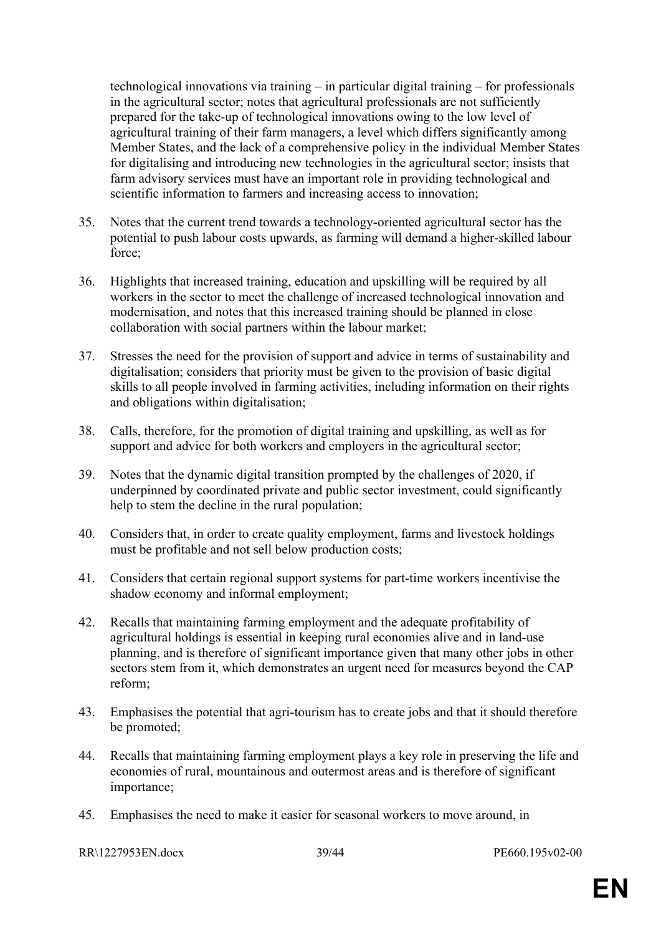technological innovations via training – in particular digital training – for professionals in the agricultural sector; notes that agricultural professionals are not sufficiently prepared for the take-up of technological innovations owing to the low level of agricultural training of their farm managers, a level which differs significantly among Member States, and the lack of a comprehensive policy in the individual Member States for digitalising and introducing new technologies in the agricultural sector; insists that farm advisory services must have an important role in providing technological and scientific information to farmers and increasing access to innovation;

- 35. Notes that the current trend towards a technology-oriented agricultural sector has the potential to push labour costs upwards, as farming will demand a higher-skilled labour force;
- 36. Highlights that increased training, education and upskilling will be required by all workers in the sector to meet the challenge of increased technological innovation and modernisation, and notes that this increased training should be planned in close collaboration with social partners within the labour market;
- 37. Stresses the need for the provision of support and advice in terms of sustainability and digitalisation; considers that priority must be given to the provision of basic digital skills to all people involved in farming activities, including information on their rights and obligations within digitalisation;
- 38. Calls, therefore, for the promotion of digital training and upskilling, as well as for support and advice for both workers and employers in the agricultural sector;
- 39. Notes that the dynamic digital transition prompted by the challenges of 2020, if underpinned by coordinated private and public sector investment, could significantly help to stem the decline in the rural population;
- 40. Considers that, in order to create quality employment, farms and livestock holdings must be profitable and not sell below production costs;
- 41. Considers that certain regional support systems for part-time workers incentivise the shadow economy and informal employment;
- 42. Recalls that maintaining farming employment and the adequate profitability of agricultural holdings is essential in keeping rural economies alive and in land-use planning, and is therefore of significant importance given that many other jobs in other sectors stem from it, which demonstrates an urgent need for measures beyond the CAP reform;
- 43. Emphasises the potential that agri-tourism has to create jobs and that it should therefore be promoted;
- 44. Recalls that maintaining farming employment plays a key role in preserving the life and economies of rural, mountainous and outermost areas and is therefore of significant importance;
- 45. Emphasises the need to make it easier for seasonal workers to move around, in

RR\1227953EN.docx 39/44 PE660.195v02-00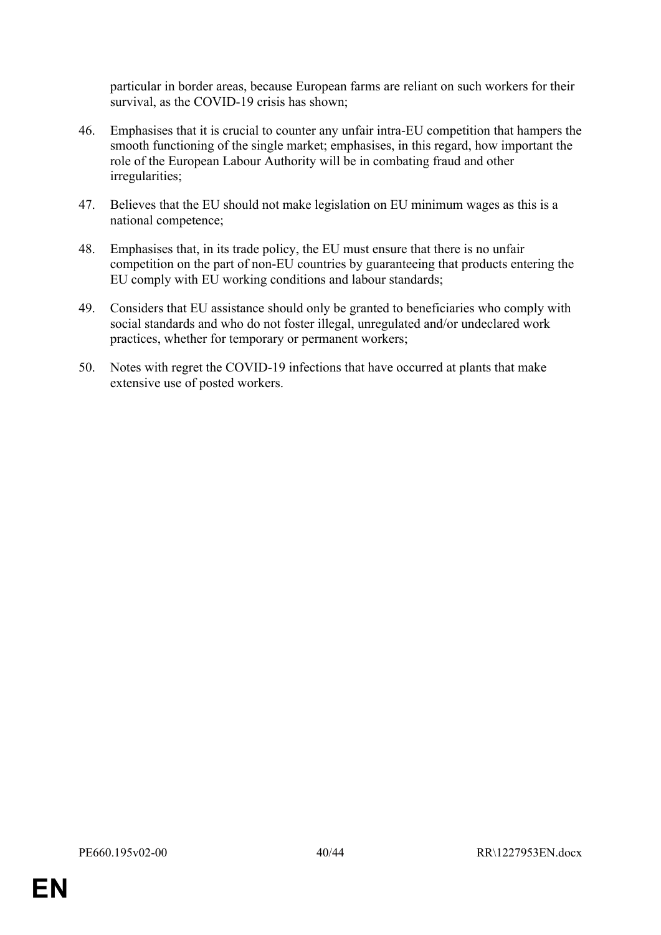particular in border areas, because European farms are reliant on such workers for their survival, as the COVID-19 crisis has shown;

- 46. Emphasises that it is crucial to counter any unfair intra-EU competition that hampers the smooth functioning of the single market; emphasises, in this regard, how important the role of the European Labour Authority will be in combating fraud and other irregularities;
- 47. Believes that the EU should not make legislation on EU minimum wages as this is a national competence;
- 48. Emphasises that, in its trade policy, the EU must ensure that there is no unfair competition on the part of non-EU countries by guaranteeing that products entering the EU comply with EU working conditions and labour standards;
- 49. Considers that EU assistance should only be granted to beneficiaries who comply with social standards and who do not foster illegal, unregulated and/or undeclared work practices, whether for temporary or permanent workers;
- 50. Notes with regret the COVID-19 infections that have occurred at plants that make extensive use of posted workers.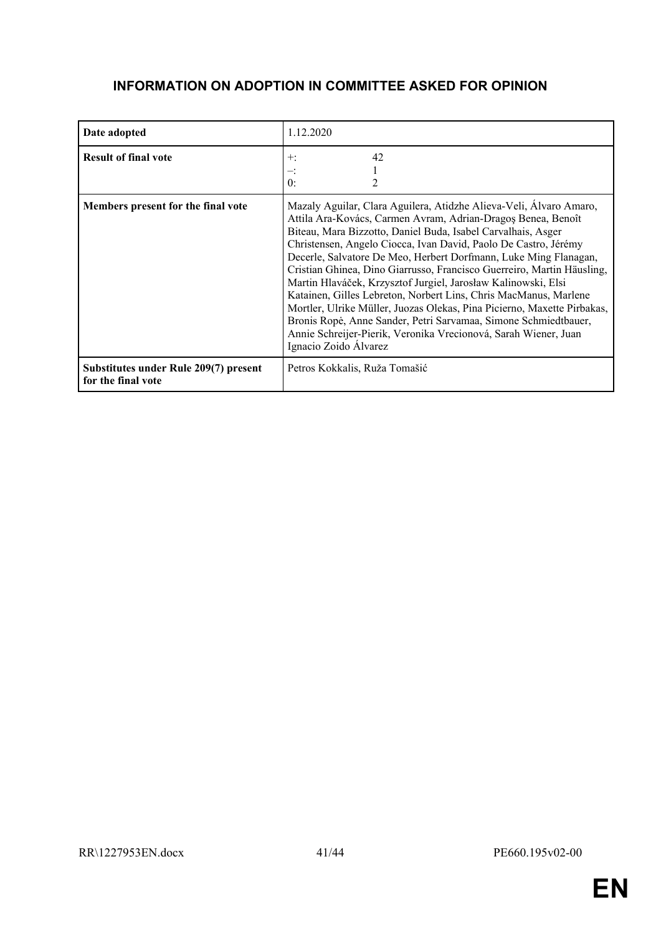# **INFORMATION ON ADOPTION IN COMMITTEE ASKED FOR OPINION**

| Date adopted                                                | 1.12.2020                                                                                                                                                                                                                                                                                                                                                                                                                                                                                                                                                                                                                                                                                                                                                                                          |
|-------------------------------------------------------------|----------------------------------------------------------------------------------------------------------------------------------------------------------------------------------------------------------------------------------------------------------------------------------------------------------------------------------------------------------------------------------------------------------------------------------------------------------------------------------------------------------------------------------------------------------------------------------------------------------------------------------------------------------------------------------------------------------------------------------------------------------------------------------------------------|
| <b>Result of final vote</b>                                 | 42<br>$+:$<br>0:                                                                                                                                                                                                                                                                                                                                                                                                                                                                                                                                                                                                                                                                                                                                                                                   |
| Members present for the final vote                          | Mazaly Aguilar, Clara Aguilera, Atidzhe Alieva-Veli, Álvaro Amaro,<br>Attila Ara-Kovács, Carmen Avram, Adrian-Dragos Benea, Benoît<br>Biteau, Mara Bizzotto, Daniel Buda, Isabel Carvalhais, Asger<br>Christensen, Angelo Ciocca, Ivan David, Paolo De Castro, Jérémy<br>Decerle, Salvatore De Meo, Herbert Dorfmann, Luke Ming Flanagan,<br>Cristian Ghinea, Dino Giarrusso, Francisco Guerreiro, Martin Häusling,<br>Martin Hlaváček, Krzysztof Jurgiel, Jarosław Kalinowski, Elsi<br>Katainen, Gilles Lebreton, Norbert Lins, Chris MacManus, Marlene<br>Mortler, Ulrike Müller, Juozas Olekas, Pina Picierno, Maxette Pirbakas,<br>Bronis Ropė, Anne Sander, Petri Sarvamaa, Simone Schmiedtbauer,<br>Annie Schreijer-Pierik, Veronika Vrecionová, Sarah Wiener, Juan<br>Ignacio Zoido Álvarez |
| Substitutes under Rule 209(7) present<br>for the final vote | Petros Kokkalis, Ruža Tomašić                                                                                                                                                                                                                                                                                                                                                                                                                                                                                                                                                                                                                                                                                                                                                                      |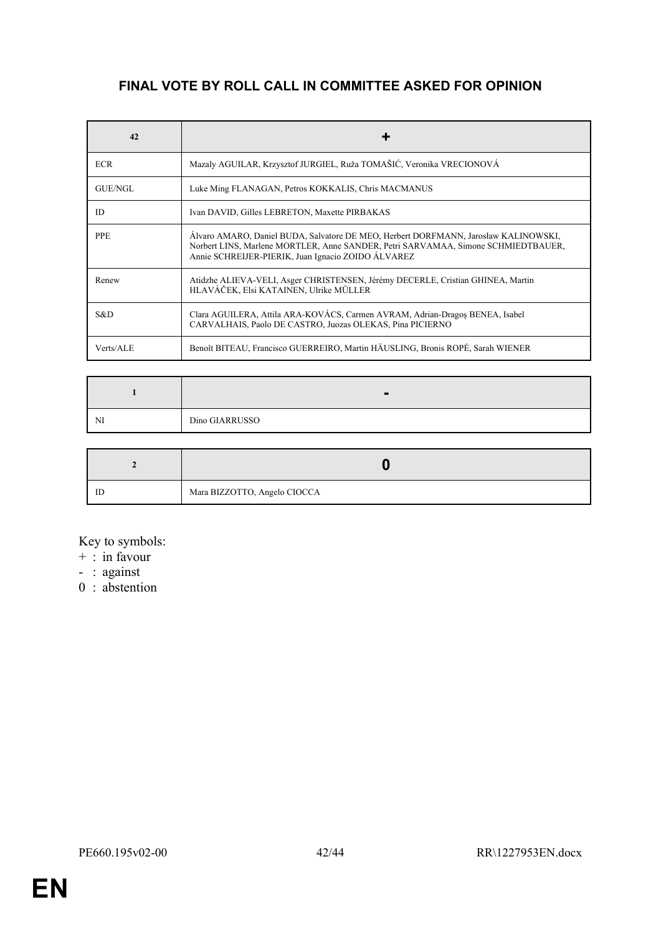# **FINAL VOTE BY ROLL CALL IN COMMITTEE ASKED FOR OPINION**

| 42         | ٠                                                                                                                                                                                                                              |
|------------|--------------------------------------------------------------------------------------------------------------------------------------------------------------------------------------------------------------------------------|
| <b>ECR</b> | Mazaly AGUILAR, Krzysztof JURGIEL, Ruža TOMAŠIĆ, Veronika VRECIONOVÁ                                                                                                                                                           |
| GUE/NGL    | Luke Ming FLANAGAN, Petros KOKKALIS, Chris MACMANUS                                                                                                                                                                            |
| <b>ID</b>  | Ivan DAVID, Gilles LEBRETON, Maxette PIRBAKAS                                                                                                                                                                                  |
| <b>PPE</b> | Alvaro AMARO, Daniel BUDA, Salvatore DE MEO, Herbert DORFMANN, Jarosław KALINOWSKI,<br>Norbert LINS, Marlene MORTLER, Anne SANDER, Petri SARVAMAA, Simone SCHMIEDTBAUER,<br>Annie SCHREIJER-PIERIK, Juan Ignacio ZOIDO ÁLVAREZ |
| Renew      | Atidzhe ALIEVA-VELI, Asger CHRISTENSEN, Jérémy DECERLE, Cristian GHINEA, Martin<br>HLAVÁČEK, Elsi KATAINEN, Ulrike MÜLLER                                                                                                      |
| S&D.       | Clara AGUILERA, Attila ARA-KOVÁCS, Carmen AVRAM, Adrian-Dragos BENEA, Isabel<br>CARVALHAIS, Paolo DE CASTRO, Juozas OLEKAS, Pina PICIERNO                                                                                      |
| Verts/ALE  | Benoît BITEAU, Francisco GUERREIRO, Martin HÄUSLING, Bronis ROPĖ, Sarah WIENER                                                                                                                                                 |

| NI | Dino GIARRUSSO |
|----|----------------|

| ID | Mara BIZZOTTO, Angelo CIOCCA |
|----|------------------------------|

Key to symbols:

 $+$  : in favour

- : against

0 : abstention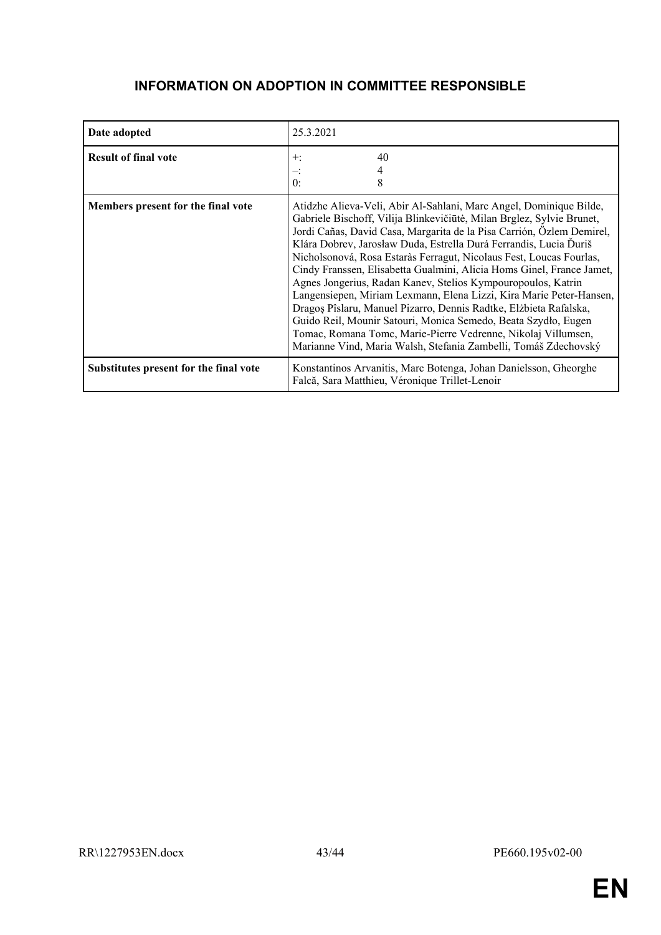# <span id="page-42-0"></span>**INFORMATION ON ADOPTION IN COMMITTEE RESPONSIBLE**

| Date adopted                           | 25.3.2021                                                                                                                                                                                                                                                                                                                                                                                                                                                                                                                                                                                                                                                                                                                                                                                                                                                   |
|----------------------------------------|-------------------------------------------------------------------------------------------------------------------------------------------------------------------------------------------------------------------------------------------------------------------------------------------------------------------------------------------------------------------------------------------------------------------------------------------------------------------------------------------------------------------------------------------------------------------------------------------------------------------------------------------------------------------------------------------------------------------------------------------------------------------------------------------------------------------------------------------------------------|
| <b>Result of final vote</b>            | 40<br>$+$ :<br>0:<br>8                                                                                                                                                                                                                                                                                                                                                                                                                                                                                                                                                                                                                                                                                                                                                                                                                                      |
| Members present for the final vote     | Atidzhe Alieva-Veli, Abir Al-Sahlani, Marc Angel, Dominique Bilde,<br>Gabriele Bischoff, Vilija Blinkevičiūtė, Milan Brglez, Sylvie Brunet,<br>Jordi Cañas, David Casa, Margarita de la Pisa Carrión, Özlem Demirel,<br>Klára Dobrev, Jarosław Duda, Estrella Durá Ferrandis, Lucia Ďuriš<br>Nicholsonová, Rosa Estaràs Ferragut, Nicolaus Fest, Loucas Fourlas,<br>Cindy Franssen, Elisabetta Gualmini, Alicia Homs Ginel, France Jamet,<br>Agnes Jongerius, Radan Kanev, Stelios Kympouropoulos, Katrin<br>Langensiepen, Miriam Lexmann, Elena Lizzi, Kira Marie Peter-Hansen,<br>Dragos Pîslaru, Manuel Pizarro, Dennis Radtke, Elżbieta Rafalska,<br>Guido Reil, Mounir Satouri, Monica Semedo, Beata Szydło, Eugen<br>Tomac, Romana Tomc, Marie-Pierre Vedrenne, Nikolaj Villumsen,<br>Marianne Vind, Maria Walsh, Stefania Zambelli, Tomáš Zdechovský |
| Substitutes present for the final vote | Konstantinos Arvanitis, Marc Botenga, Johan Danielsson, Gheorghe<br>Falcă, Sara Matthieu, Véronique Trillet-Lenoir                                                                                                                                                                                                                                                                                                                                                                                                                                                                                                                                                                                                                                                                                                                                          |